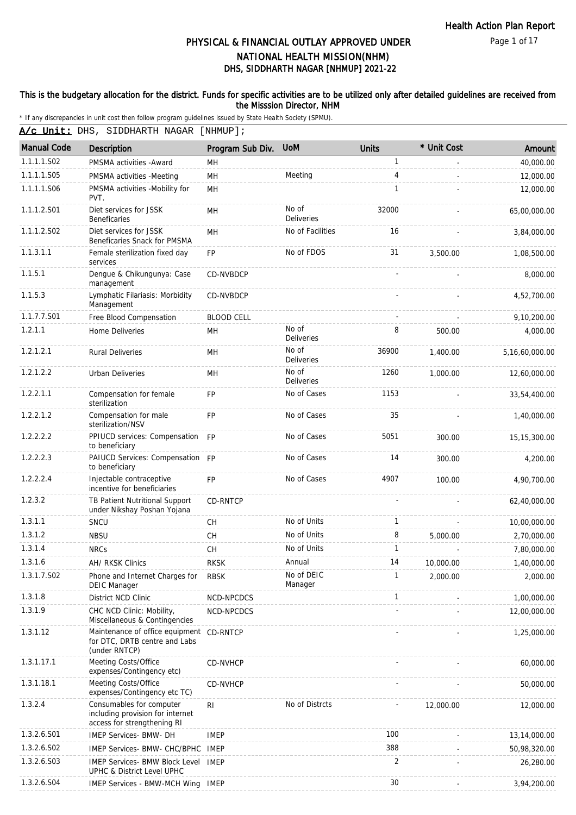Page 1 of 17

# DHS, SIDDHARTH NAGAR [NHMUP] 2021-22 PHYSICAL & FINANCIAL OUTLAY APPROVED UNDER NATIONAL HEALTH MISSION(NHM)

### This is the budgetary allocation for the district. Funds for specific activities are to be utilized only after detailed guidelines are received from the Misssion Director, NHM

| A/c Unit: DHS, SIDDHARTH NAGAR [NHMUP]; |  |
|-----------------------------------------|--|
|                                         |  |

| <b>Manual Code</b> | <b>Description</b>                                                                          | Program Sub Div.  | <b>UoM</b>                 | <b>Units</b>   | * Unit Cost | Amount         |
|--------------------|---------------------------------------------------------------------------------------------|-------------------|----------------------------|----------------|-------------|----------------|
| 1.1.1.1.S02        | PMSMA activities - Award                                                                    | MH                |                            | $\mathbf{1}$   |             | 40,000.00      |
| 1.1.1.1.S05        | PMSMA activities -Meeting                                                                   | MH                | Meeting                    | 4              |             | 12,000.00      |
| 1.1.1.1.S06        | PMSMA activities -Mobility for<br>PVT.                                                      | MH                |                            | 1              |             | 12,000.00      |
| 1.1.1.2.S01        | Diet services for JSSK<br><b>Beneficaries</b>                                               | MH                | No of<br><b>Deliveries</b> | 32000          |             | 65,00,000.00   |
| 1.1.1.2.S02        | Diet services for JSSK<br>Beneficaries Snack for PMSMA                                      | MH                | No of Facilities           | 16             |             | 3,84,000.00    |
| 1.1.3.1.1          | Female sterilization fixed day<br>services                                                  | FP                | No of FDOS                 | 31             | 3,500.00    | 1,08,500.00    |
| 1.1.5.1            | Dengue & Chikungunya: Case<br>management                                                    | CD-NVBDCP         |                            |                |             | 8,000.00       |
| 1.1.5.3            | Lymphatic Filariasis: Morbidity<br>Management                                               | CD-NVBDCP         |                            |                |             | 4,52,700.00    |
| 1.1.7.7.S01        | Free Blood Compensation                                                                     | <b>BLOOD CELL</b> |                            |                |             | 9,10,200.00    |
| 1.2.1.1            | Home Deliveries                                                                             | MH                | No of<br>Deliveries        | 8              | 500.00      | 4,000.00       |
| 1.2.1.2.1          | <b>Rural Deliveries</b>                                                                     | MH                | No of<br><b>Deliveries</b> | 36900          | 1,400.00    | 5,16,60,000.00 |
| 1.2.1.2.2          | <b>Urban Deliveries</b>                                                                     | MH                | No of<br>Deliveries        | 1260           | 1,000.00    | 12,60,000.00   |
| 1.2.2.1.1          | Compensation for female<br>sterilization                                                    | <b>FP</b>         | No of Cases                | 1153           |             | 33,54,400.00   |
| 1.2.2.1.2          | Compensation for male<br>sterilization/NSV                                                  | <b>FP</b>         | No of Cases                | 35             |             | 1,40,000.00    |
| 1.2.2.2.2          | PPIUCD services: Compensation FP<br>to beneficiary                                          |                   | No of Cases                | 5051           | 300.00      | 15, 15, 300.00 |
| 1.2.2.2.3          | PAIUCD Services: Compensation FP<br>to beneficiary                                          |                   | No of Cases                | 14             | 300.00      | 4,200.00       |
| 1.2.2.2.4          | Injectable contraceptive<br>incentive for beneficiaries                                     | <b>FP</b>         | No of Cases                | 4907           | 100.00      | 4,90,700.00    |
| 1.2.3.2            | TB Patient Nutritional Support<br>under Nikshay Poshan Yojana                               | CD-RNTCP          |                            | $\blacksquare$ |             | 62,40,000.00   |
| 1.3.1.1            | SNCU                                                                                        | CH.               | No of Units                | 1              |             | 10,00,000.00   |
| 1.3.1.2            | <b>NBSU</b>                                                                                 | CH                | No of Units                | 8              | 5,000.00    | 2,70,000.00    |
| 1.3.1.4            | <b>NRCs</b>                                                                                 | CH                | No of Units                | $\mathbf{1}$   |             | 7,80,000.00    |
| 1.3.1.6            | AH/ RKSK Clinics                                                                            | <b>RKSK</b>       | Annual                     | 14             | 10,000.00   | 1,40,000.00    |
| 1.3.1.7.S02        | Phone and Internet Charges for<br><b>DEIC Manager</b>                                       | <b>RBSK</b>       | No of DEIC<br>Manager      |                | 2,000.00    | 2,000.00       |
| 1.3.1.8            | District NCD Clinic                                                                         | NCD-NPCDCS        |                            | 1              |             | 1,00,000.00    |
| 1.3.1.9            | CHC NCD Clinic: Mobility,<br>Miscellaneous & Contingencies                                  | NCD-NPCDCS        |                            |                |             | 12,00,000.00   |
| 1.3.1.12           | Maintenance of office equipment<br>for DTC, DRTB centre and Labs<br>(under RNTCP)           | CD-RNTCP          |                            |                |             | 1,25,000.00    |
| 1.3.1.17.1         | Meeting Costs/Office<br>expenses/Contingency etc)                                           | CD-NVHCP          |                            |                |             | 60,000.00      |
| 1.3.1.18.1         | Meeting Costs/Office<br>expenses/Contingency etc TC)                                        | CD-NVHCP          |                            |                |             | 50,000.00      |
| 1.3.2.4            | Consumables for computer<br>including provision for internet<br>access for strengthening RI | R <sub>l</sub>    | No of Distrcts             |                | 12,000.00   | 12,000.00      |
| 1.3.2.6.S01        | IMEP Services- BMW- DH                                                                      | <b>IMEP</b>       |                            | 100            |             | 13,14,000.00   |
| 1.3.2.6.S02        | IMEP Services- BMW- CHC/BPHC                                                                | <b>IMEP</b>       |                            | 388            |             | 50,98,320.00   |
| 1.3.2.6.S03        | IMEP Services- BMW Block Level IMEP<br>UPHC & District Level UPHC                           |                   |                            | 2              |             | 26,280.00      |
| 1.3.2.6.S04        | IMEP Services - BMW-MCH Wing                                                                | <b>IMEP</b>       |                            | 30             |             | 3,94,200.00    |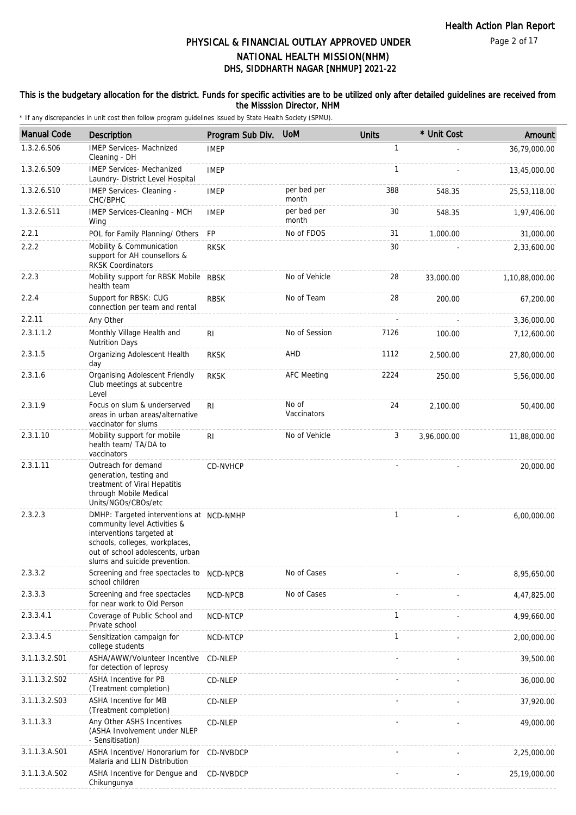### This is the budgetary allocation for the district. Funds for specific activities are to be utilized only after detailed guidelines are received from the Misssion Director, NHM

| <b>Manual Code</b> | Description                                                                                                                                                                                                  | Program Sub Div. | <b>UoM</b>           | <b>Units</b> | * Unit Cost | Amount         |
|--------------------|--------------------------------------------------------------------------------------------------------------------------------------------------------------------------------------------------------------|------------------|----------------------|--------------|-------------|----------------|
| 1.3.2.6.S06        | <b>IMEP Services- Machnized</b><br>Cleaning - DH                                                                                                                                                             | <b>IMEP</b>      |                      | 1            |             | 36,79,000.00   |
| 1.3.2.6.S09        | <b>IMEP Services- Mechanized</b><br>Laundry- District Level Hospital                                                                                                                                         | <b>IMEP</b>      |                      | $\mathbf{1}$ |             | 13,45,000.00   |
| 1.3.2.6.510        | IMEP Services- Cleaning -<br>CHC/BPHC                                                                                                                                                                        | <b>IMEP</b>      | per bed per<br>month | 388          | 548.35      | 25,53,118.00   |
| 1.3.2.6.S11        | IMEP Services-Cleaning - MCH<br>Wing                                                                                                                                                                         | <b>IMEP</b>      | per bed per<br>month | 30           | 548.35      | 1,97,406.00    |
| 2.2.1              | POL for Family Planning/ Others                                                                                                                                                                              | <b>FP</b>        | No of FDOS           | 31           | 1,000.00    | 31,000.00      |
| 2.2.2              | Mobility & Communication<br>support for AH counsellors &<br><b>RKSK Coordinators</b>                                                                                                                         | <b>RKSK</b>      |                      | 30           |             | 2,33,600.00    |
| 2.2.3              | Mobility support for RBSK Mobile RBSK<br>health team                                                                                                                                                         |                  | No of Vehicle        | 28           | 33,000.00   | 1,10,88,000.00 |
| 2.2.4              | Support for RBSK: CUG<br>connection per team and rental                                                                                                                                                      | <b>RBSK</b>      | No of Team           | 28           | 200.00      | 67,200.00      |
| 2.2.11             | Any Other                                                                                                                                                                                                    |                  |                      |              |             | 3,36,000.00    |
| 2.3.1.1.2          | Monthly Village Health and<br><b>Nutrition Days</b>                                                                                                                                                          | RI               | No of Session        | 7126         | 100.00      | 7,12,600.00    |
| 2.3.1.5            | Organizing Adolescent Health<br>day                                                                                                                                                                          | <b>RKSK</b>      | AHD                  | 1112         | 2,500.00    | 27,80,000.00   |
| 2.3.1.6            | Organising Adolescent Friendly<br>Club meetings at subcentre<br>Level                                                                                                                                        | <b>RKSK</b>      | <b>AFC Meeting</b>   | 2224         | 250.00      | 5,56,000.00    |
| 2.3.1.9            | Focus on slum & underserved<br>areas in urban areas/alternative<br>vaccinator for slums                                                                                                                      | <b>RI</b>        | No of<br>Vaccinators | 24           | 2,100.00    | 50,400.00      |
| 2.3.1.10           | Mobility support for mobile<br>health team/ TA/DA to<br>vaccinators                                                                                                                                          | <b>RI</b>        | No of Vehicle        | 3            | 3,96,000.00 | 11,88,000.00   |
| 2.3.1.11           | Outreach for demand<br>generation, testing and<br>treatment of Viral Hepatitis<br>through Mobile Medical<br>Units/NGOs/CBOs/etc                                                                              | CD-NVHCP         |                      |              |             | 20,000.00      |
| 2.3.2.3            | DMHP: Targeted interventions at NCD-NMHP<br>community level Activities &<br>interventions targeted at<br>schools, colleges, workplaces,<br>out of school adolescents, urban<br>slums and suicide prevention. |                  |                      | $\mathbf{1}$ |             | 6,00,000.00    |
| 2.3.3.2            | Screening and free spectacles to<br>school children                                                                                                                                                          | NCD-NPCB         | No of Cases          |              |             | 8,95,650.00    |
| 2.3.3.3            | Screening and free spectacles<br>for near work to Old Person                                                                                                                                                 | NCD-NPCB         | No of Cases          |              |             | 4,47,825.00    |
| 2.3.3.4.1          | Coverage of Public School and<br>Private school                                                                                                                                                              | NCD-NTCP         |                      | $\mathbf{1}$ |             | 4,99,660.00    |
| 2.3.3.4.5          | Sensitization campaign for<br>college students                                                                                                                                                               | NCD-NTCP         |                      | $\mathbf{1}$ |             | 2,00,000.00    |
| 3.1.1.3.2.S01      | ASHA/AWW/Volunteer Incentive<br>for detection of leprosy                                                                                                                                                     | CD-NLEP          |                      |              |             | 39,500.00      |
| 3.1.1.3.2.S02      | ASHA Incentive for PB<br>(Treatment completion)                                                                                                                                                              | CD-NLEP          |                      |              |             | 36,000.00      |
| 3.1.1.3.2.S03      | ASHA Incentive for MB<br>(Treatment completion)                                                                                                                                                              | CD-NLEP          |                      |              |             | 37,920.00      |
| 3.1.1.3.3          | Any Other ASHS Incentives<br>(ASHA Involvement under NLEP<br>- Sensitisation)                                                                                                                                | CD-NLEP          |                      |              |             | 49,000.00      |
| 3.1.1.3.A.S01      | ASHA Incentive/ Honorarium for<br>Malaria and LLIN Distribution                                                                                                                                              | CD-NVBDCP        |                      |              |             | 2,25,000.00    |
| 3.1.1.3.A.S02      | ASHA Incentive for Dengue and<br>Chikungunya                                                                                                                                                                 | CD-NVBDCP        |                      |              |             | 25,19,000.00   |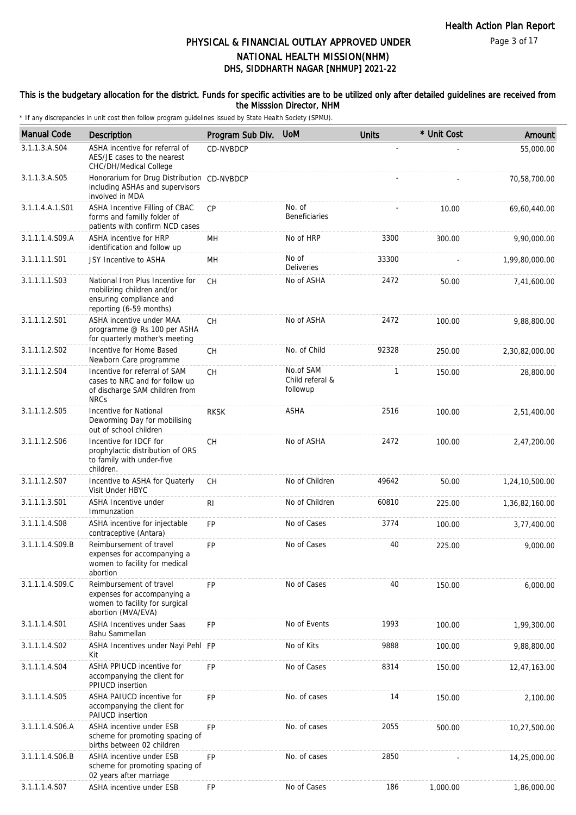### This is the budgetary allocation for the district. Funds for specific activities are to be utilized only after detailed guidelines are received from the Misssion Director, NHM

| <b>Manual Code</b> | Description                                                                                                          | Program Sub Div. | <b>UoM</b>                               | <b>Units</b> | * Unit Cost | Amount         |
|--------------------|----------------------------------------------------------------------------------------------------------------------|------------------|------------------------------------------|--------------|-------------|----------------|
| 3.1.1.3.A.S04      | ASHA incentive for referral of<br>AES/JE cases to the nearest<br>CHC/DH/Medical College                              | <b>CD-NVBDCP</b> |                                          |              |             | 55,000.00      |
| 3.1.1.3.A.S05      | Honorarium for Drug Distribution CD-NVBDCP<br>including ASHAs and supervisors<br>involved in MDA                     |                  |                                          |              |             | 70,58,700.00   |
| 3.1.1.4.A.1.S01    | ASHA Incentive Filling of CBAC<br>forms and familly folder of<br>patients with confirm NCD cases                     | CP               | No. of<br><b>Beneficiaries</b>           |              | 10.00       | 69,60,440.00   |
| 3.1.1.1.4.S09.A    | ASHA incentive for HRP<br>identification and follow up                                                               | MН               | No of HRP                                | 3300         | 300.00      | 9,90,000.00    |
| 3.1.1.1.1.S01      | JSY Incentive to ASHA                                                                                                | <b>MH</b>        | No of<br><b>Deliveries</b>               | 33300        |             | 1,99,80,000.00 |
| 3.1.1.1.1.S03      | National Iron Plus Incentive for<br>mobilizing children and/or<br>ensuring compliance and<br>reporting (6-59 months) | CH               | No of ASHA                               | 2472         | 50.00       | 7,41,600.00    |
| 3.1.1.1.2.S01      | ASHA incentive under MAA<br>programme @ Rs 100 per ASHA<br>for quarterly mother's meeting                            | <b>CH</b>        | No of ASHA                               | 2472         | 100.00      | 9,88,800.00    |
| 3.1.1.1.2.S02      | Incentive for Home Based<br>Newborn Care programme                                                                   | <b>CH</b>        | No. of Child                             | 92328        | 250.00      | 2,30,82,000.00 |
| 3.1.1.1.2.S04      | Incentive for referral of SAM<br>cases to NRC and for follow up<br>of discharge SAM children from<br><b>NRCs</b>     | <b>CH</b>        | No.of SAM<br>Child referal &<br>followup | 1            | 150.00      | 28,800.00      |
| 3.1.1.1.2.S05      | Incentive for National<br>Deworming Day for mobilising<br>out of school children                                     | <b>RKSK</b>      | ASHA                                     | 2516         | 100.00      | 2,51,400.00    |
| 3.1.1.1.2.S06      | Incentive for IDCF for<br>prophylactic distribution of ORS<br>to family with under-five<br>children.                 | <b>CH</b>        | No of ASHA                               | 2472         | 100.00      | 2,47,200.00    |
| 3.1.1.1.2.S07      | Incentive to ASHA for Quaterly<br>Visit Under HBYC                                                                   | CH               | No of Children                           | 49642        | 50.00       | 1,24,10,500.00 |
| 3.1.1.1.3.S01      | ASHA Incentive under<br>Immunzation                                                                                  | RI               | No of Children                           | 60810        | 225.00      | 1,36,82,160.00 |
| 3.1.1.1.4.S08      | ASHA incentive for injectable<br>contraceptive (Antara)                                                              | <b>FP</b>        | No of Cases                              | 3774         | 100.00      | 3,77,400.00    |
| 3.1.1.1.4.S09.B    | Reimbursement of travel<br>expenses for accompanying a<br>women to facility for medical<br>abortion                  | <b>FP</b>        | No of Cases                              | 40           | 225.00      | 9,000.00       |
| 3.1.1.1.4.S09.C    | Reimbursement of travel<br>expenses for accompanying a<br>women to facility for surgical<br>abortion (MVA/EVA)       | <b>FP</b>        | No of Cases                              | 40           | 150.00      | 6,000.00       |
| 3.1.1.1.4.S01      | <b>ASHA Incentives under Saas</b><br>Bahu Sammellan                                                                  | <b>FP</b>        | No of Events                             | 1993         | 100.00      | 1,99,300.00    |
| 3.1.1.1.4.S02      | ASHA Incentives under Nayi Pehl FP<br>Kit                                                                            |                  | No of Kits                               | 9888         | 100.00      | 9,88,800.00    |
| 3.1.1.1.4.S04      | ASHA PPIUCD incentive for<br>accompanying the client for<br>PPIUCD insertion                                         | <b>FP</b>        | No of Cases                              | 8314         | 150.00      | 12,47,163.00   |
| 3.1.1.1.4.S05      | ASHA PAIUCD incentive for<br>accompanying the client for<br>PAIUCD insertion                                         | <b>FP</b>        | No. of cases                             | 14           | 150.00      | 2,100.00       |
| 3.1.1.1.4.S06.A    | ASHA incentive under ESB<br>scheme for promoting spacing of<br>births between 02 children                            | <b>FP</b>        | No. of cases                             | 2055         | 500.00      | 10,27,500.00   |
| 3.1.1.1.4.S06.B    | ASHA incentive under ESB<br>scheme for promoting spacing of<br>02 years after marriage                               | FP               | No. of cases                             | 2850         |             | 14,25,000.00   |
| 3.1.1.1.4.S07      | ASHA incentive under ESB                                                                                             | FP               | No of Cases                              | 186          | 1,000.00    | 1,86,000.00    |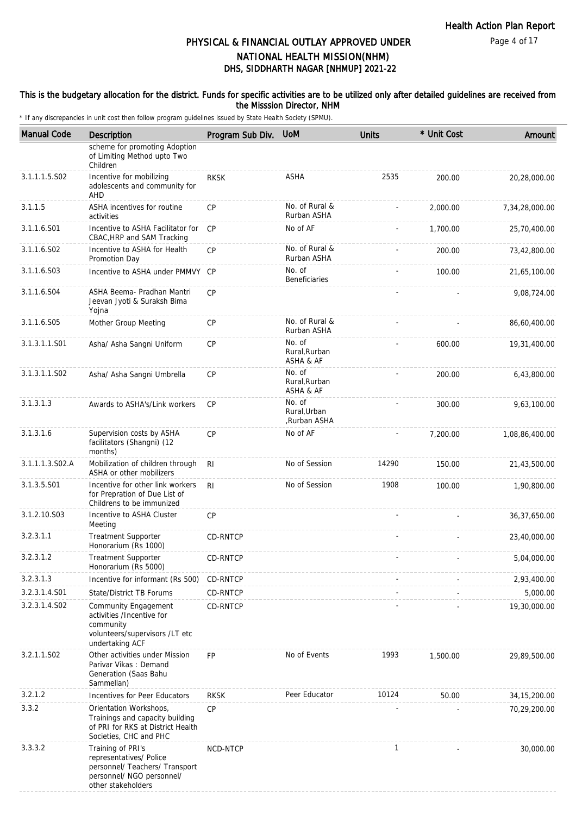### This is the budgetary allocation for the district. Funds for specific activities are to be utilized only after detailed guidelines are received from the Misssion Director, NHM

| <b>Manual Code</b> | Description                                                                                                                       | Program Sub Div. | <b>UoM</b>                             | <b>Units</b> | * Unit Cost | Amount         |
|--------------------|-----------------------------------------------------------------------------------------------------------------------------------|------------------|----------------------------------------|--------------|-------------|----------------|
|                    | scheme for promoting Adoption<br>of Limiting Method upto Two<br>Children                                                          |                  |                                        |              |             |                |
| 3.1.1.1.5.S02      | Incentive for mobilizing<br>adolescents and community for<br>AHD                                                                  | <b>RKSK</b>      | <b>ASHA</b>                            | 2535         | 200.00      | 20,28,000.00   |
| 3.1.1.5            | ASHA incentives for routine<br>activities                                                                                         | CP               | No. of Rural &<br>Rurban ASHA          |              | 2,000.00    | 7,34,28,000.00 |
| 3.1.1.6.S01        | Incentive to ASHA Facilitator for<br>CBAC, HRP and SAM Tracking                                                                   | <b>CP</b>        | No of AF                               |              | 1,700.00    | 25,70,400.00   |
| 3.1.1.6.S02        | Incentive to ASHA for Health<br>Promotion Day                                                                                     | <b>CP</b>        | No. of Rural &<br>Rurban ASHA          |              | 200.00      | 73,42,800.00   |
| 3.1.1.6.S03        | Incentive to ASHA under PMMVY CP                                                                                                  |                  | No. of<br>Beneficiaries                |              | 100.00      | 21,65,100.00   |
| 3.1.1.6.S04        | ASHA Beema- Pradhan Mantri<br>Jeevan Jyoti & Suraksh Bima<br>Yojna                                                                | <b>CP</b>        |                                        |              |             | 9,08,724.00    |
| 3.1.1.6.S05        | Mother Group Meeting                                                                                                              | <b>CP</b>        | No. of Rural &<br>Rurban ASHA          |              |             | 86,60,400.00   |
| 3.1.3.1.1.S01      | Asha/ Asha Sangni Uniform                                                                                                         | CP               | No. of<br>Rural, Rurban<br>ASHA & AF   |              | 600.00      | 19,31,400.00   |
| 3.1.3.1.1.S02      | Asha/ Asha Sangni Umbrella                                                                                                        | CP               | No. of<br>Rural, Rurban<br>ASHA & AF   |              | 200.00      | 6,43,800.00    |
| 3.1.3.1.3          | Awards to ASHA's/Link workers                                                                                                     | <b>CP</b>        | No. of<br>Rural, Urban<br>Rurban ASHA, |              | 300.00      | 9,63,100.00    |
| 3.1.3.1.6          | Supervision costs by ASHA<br>facilitators (Shangni) (12<br>months)                                                                | <b>CP</b>        | No of AF                               |              | 7,200.00    | 1,08,86,400.00 |
| 3.1.1.1.3.S02.A    | Mobilization of children through<br>ASHA or other mobilizers                                                                      | R <sub>l</sub>   | No of Session                          | 14290        | 150.00      | 21,43,500.00   |
| 3.1.3.5.S01        | Incentive for other link workers<br>for Prepration of Due List of<br>Childrens to be immunized                                    | R <sub>l</sub>   | No of Session                          | 1908         | 100.00      | 1,90,800.00    |
| 3.1.2.10.S03       | Incentive to ASHA Cluster<br>Meeting                                                                                              | <b>CP</b>        |                                        |              |             | 36,37,650.00   |
| 3.2.3.1.1          | <b>Treatment Supporter</b><br>Honorarium (Rs 1000)                                                                                | CD-RNTCP         |                                        |              |             | 23,40,000.00   |
| 3.2.3.1.2          | <b>Treatment Supporter</b><br>Honorarium (Rs 5000)                                                                                | CD-RNTCP         |                                        |              |             | 5,04,000.00    |
| 3.2.3.1.3          | Incentive for informant (Rs 500)                                                                                                  | CD-RNTCP         |                                        |              |             | 2,93,400.00    |
| 3.2.3.1.4.S01      | State/District TB Forums                                                                                                          | CD-RNTCP         |                                        |              |             | 5,000.00       |
| 3.2.3.1.4.S02      | Community Engagement<br>activities /Incentive for<br>community<br>volunteers/supervisors /LT etc<br>undertaking ACF               | CD-RNTCP         |                                        |              |             | 19,30,000.00   |
| 3.2.1.1.S02        | Other activities under Mission<br>Parivar Vikas: Demand<br>Generation (Saas Bahu<br>Sammellan)                                    | <b>FP</b>        | No of Events                           | 1993         | 1,500.00    | 29,89,500.00   |
| 3.2.1.2            | Incentives for Peer Educators                                                                                                     | <b>RKSK</b>      | Peer Educator                          | 10124        | 50.00       | 34, 15, 200.00 |
| 3.3.2              | Orientation Workshops,<br>Trainings and capacity building<br>of PRI for RKS at District Health<br>Societies, CHC and PHC          | CP               |                                        |              |             | 70,29,200.00   |
| 3.3.3.2            | Training of PRI's<br>representatives/ Police<br>personnel/ Teachers/ Transport<br>personnel/ NGO personnel/<br>other stakeholders | NCD-NTCP         |                                        | $\mathbf{1}$ |             | 30,000.00      |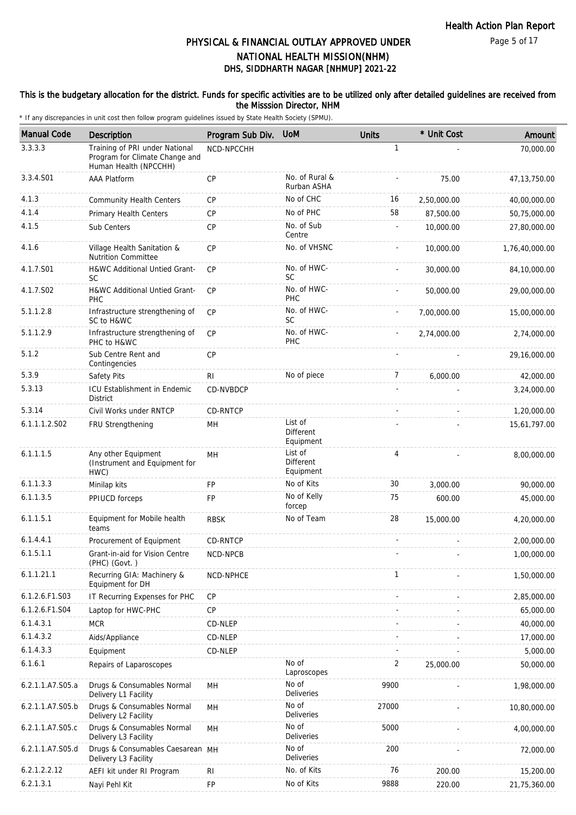### This is the budgetary allocation for the district. Funds for specific activities are to be utilized only after detailed guidelines are received from the Misssion Director, NHM

| <b>Manual Code</b> | <b>Description</b>                                                                        | Program Sub Div. | <b>UoM</b>                        | <b>Units</b>   | * Unit Cost | Amount         |
|--------------------|-------------------------------------------------------------------------------------------|------------------|-----------------------------------|----------------|-------------|----------------|
| 3.3.3.3            | Training of PRI under National<br>Program for Climate Change and<br>Human Health (NPCCHH) | NCD-NPCCHH       |                                   | $\mathbf{1}$   |             | 70,000.00      |
| 3.3.4.S01          | AAA Platform                                                                              | CP               | No. of Rural &<br>Rurban ASHA     |                | 75.00       | 47, 13, 750.00 |
| 4.1.3              | <b>Community Health Centers</b>                                                           | <b>CP</b>        | No of CHC                         | 16             | 2,50,000.00 | 40,00,000.00   |
| 4.1.4              | Primary Health Centers                                                                    | CP               | No of PHC                         | 58             | 87,500.00   | 50,75,000.00   |
| 4.1.5              | Sub Centers                                                                               | CP               | No. of Sub<br>Centre              |                | 10,000.00   | 27,80,000.00   |
| 4.1.6              | Village Health Sanitation &<br><b>Nutrition Committee</b>                                 | <b>CP</b>        | No. of VHSNC                      |                | 10,000.00   | 1,76,40,000.00 |
| 4.1.7.S01          | H&WC Additional Untied Grant-<br><b>SC</b>                                                | CP               | No. of HWC-<br><b>SC</b>          |                | 30,000.00   | 84,10,000.00   |
| 4.1.7.S02          | H&WC Additional Untied Grant-<br>PHC                                                      | CP               | No. of HWC-<br>PHC                |                | 50,000.00   | 29,00,000.00   |
| 5.1.1.2.8          | Infrastructure strengthening of<br>SC to H&WC                                             | <b>CP</b>        | No. of HWC-<br><b>SC</b>          |                | 7,00,000.00 | 15,00,000.00   |
| 5.1.1.2.9          | Infrastructure strengthening of<br>PHC to H&WC                                            | <b>CP</b>        | No. of HWC-<br><b>PHC</b>         |                | 2,74,000.00 | 2,74,000.00    |
| 5.1.2              | Sub Centre Rent and<br>Contingencies                                                      | CP               |                                   |                |             | 29,16,000.00   |
| 5.3.9              | Safety Pits                                                                               | RI.              | No of piece                       | 7              | 6,000.00    | 42,000.00      |
| 5.3.13             | ICU Establishment in Endemic<br><b>District</b>                                           | CD-NVBDCP        |                                   |                |             | 3,24,000.00    |
| 5.3.14             | Civil Works under RNTCP                                                                   | CD-RNTCP         |                                   |                |             | 1,20,000.00    |
| 6.1.1.1.2.S02      | FRU Strengthening                                                                         | MH               | List of<br>Different<br>Equipment |                |             | 15,61,797.00   |
| 6.1.1.1.5          | Any other Equipment<br>(Instrument and Equipment for<br>HWC)                              | MH               | List of<br>Different<br>Equipment | $\overline{4}$ |             | 8,00,000.00    |
| 6.1.1.3.3          | Minilap kits                                                                              | <b>FP</b>        | No of Kits                        | 30             | 3,000.00    | 90,000.00      |
| 6.1.1.3.5          | PPIUCD forceps                                                                            | FP               | No of Kelly<br>forcep             | 75             | 600.00      | 45,000.00      |
| 6.1.1.5.1          | Equipment for Mobile health<br>teams                                                      | <b>RBSK</b>      | No of Team                        | 28             | 15,000.00   | 4,20,000.00    |
| 6.1.4.4.1          | Procurement of Equipment                                                                  | CD-RNTCP         |                                   |                |             | 2,00,000.00    |
| 6.1.5.1.1          | Grant-in-aid for Vision Centre<br>(PHC) (Govt.)                                           | <b>NCD-NPCB</b>  |                                   |                |             | 1.00.000.00    |
| 6.1.1.21.1         | Recurring GIA: Machinery &<br>Equipment for DH                                            | NCD-NPHCE        |                                   | $\mathbf{1}$   |             | 1,50,000.00    |
| 6.1.2.6.F1.S03     | IT Recurring Expenses for PHC                                                             | CP               |                                   |                |             | 2,85,000.00    |
| 6.1.2.6.F1.S04     | Laptop for HWC-PHC                                                                        | CP               |                                   |                |             | 65,000.00      |
| 6.1.4.3.1          | <b>MCR</b>                                                                                | CD-NLEP          |                                   |                |             | 40,000.00      |
| 6.1.4.3.2          | Aids/Appliance                                                                            | CD-NLEP          |                                   |                |             | 17,000.00      |
| 6.1.4.3.3          | Equipment                                                                                 | CD-NLEP          |                                   |                |             | 5,000.00       |
| 6.1.6.1            | Repairs of Laparoscopes                                                                   |                  | No of<br>Laproscopes              | 2              | 25,000.00   | 50,000.00      |
| 6.2.1.1.A7.S05.a   | Drugs & Consumables Normal<br>Delivery L1 Facility                                        | MH               | No of<br>Deliveries               | 9900           |             | 1,98,000.00    |
| 6.2.1.1.A7.S05.b   | Drugs & Consumables Normal<br>Delivery L2 Facility                                        | MН               | No of<br><b>Deliveries</b>        | 27000          |             | 10,80,000.00   |
| 6.2.1.1.A7.S05.c   | Drugs & Consumables Normal<br>Delivery L3 Facility                                        | MH               | No of<br>Deliveries               | 5000           |             | 4,00,000.00    |
| 6.2.1.1.A7.S05.d   | Drugs & Consumables Caesarean MH<br>Delivery L3 Facility                                  |                  | No of<br>Deliveries               | 200            |             | 72,000.00      |
| 6.2.1.2.2.12       | AEFI kit under RI Program                                                                 | <b>RI</b>        | No. of Kits                       | 76             | 200.00      | 15,200.00      |
| 6.2.1.3.1          | Nayi Pehl Kit                                                                             | FP               | No of Kits                        | 9888           | 220.00      | 21,75,360.00   |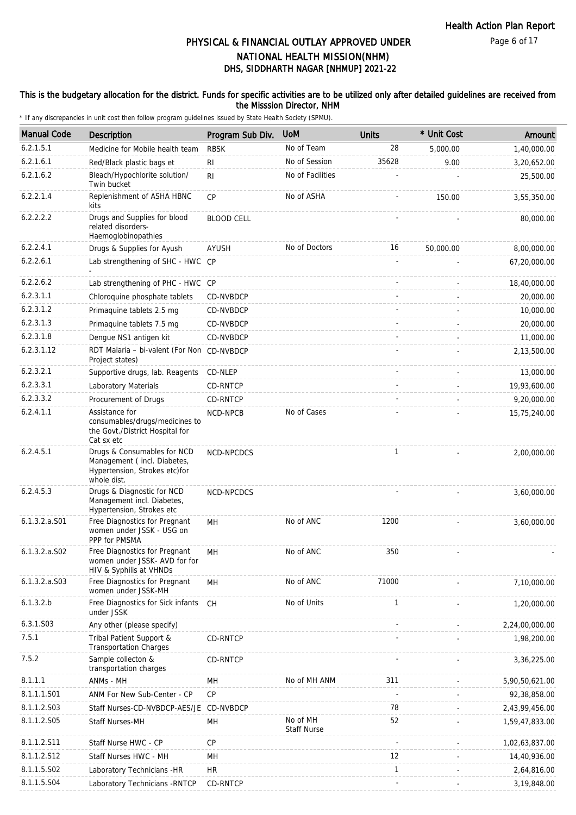### This is the budgetary allocation for the district. Funds for specific activities are to be utilized only after detailed guidelines are received from the Misssion Director, NHM

| <b>Manual Code</b> | Description                                                                                                 | Program Sub Div.  | <b>UoM</b>                     | <b>Units</b> | * Unit Cost | Amount         |
|--------------------|-------------------------------------------------------------------------------------------------------------|-------------------|--------------------------------|--------------|-------------|----------------|
| 6.2.1.5.1          | Medicine for Mobile health team                                                                             | <b>RBSK</b>       | No of Team                     | 28           | 5,000.00    | 1,40,000.00    |
| 6.2.1.6.1          | Red/Black plastic bags et                                                                                   | RI                | No of Session                  | 35628        | 9.00        | 3,20,652.00    |
| 6.2.1.6.2          | Bleach/Hypochlorite solution/<br>Twin bucket                                                                | RI                | No of Facilities               |              |             | 25,500.00      |
| 6.2.2.1.4          | Replenishment of ASHA HBNC<br>kits                                                                          | <b>CP</b>         | No of ASHA                     |              | 150.00      | 3,55,350.00    |
| 6.2.2.2.2          | Drugs and Supplies for blood<br>related disorders-<br>Haemoglobinopathies                                   | <b>BLOOD CELL</b> |                                |              |             | 80,000.00      |
| 6.2.2.4.1          | Drugs & Supplies for Ayush                                                                                  | AYUSH             | No of Doctors                  | 16           | 50,000.00   | 8,00,000.00    |
| 6.2.2.6.1          | Lab strengthening of SHC - HWC                                                                              | CP                |                                |              |             | 67,20,000.00   |
| 6.2.2.6.2          | Lab strengthening of PHC - HWC CP                                                                           |                   |                                |              |             | 18,40,000.00   |
| 6.2.3.1.1          | Chloroquine phosphate tablets                                                                               | CD-NVBDCP         |                                |              |             | 20,000.00      |
| 6.2.3.1.2          | Primaquine tablets 2.5 mg                                                                                   | CD-NVBDCP         |                                |              |             | 10,000.00      |
| 6.2.3.1.3          | Primaquine tablets 7.5 mg                                                                                   | CD-NVBDCP         |                                |              |             | 20,000.00      |
| 6.2.3.1.8          | Dengue NS1 antigen kit                                                                                      | CD-NVBDCP         |                                |              |             | 11,000.00      |
| 6.2.3.1.12         | RDT Malaria - bi-valent (For Non CD-NVBDCP<br>Project states)                                               |                   |                                |              |             | 2,13,500.00    |
| 6.2.3.2.1          | Supportive drugs, lab. Reagents                                                                             | CD-NLEP           |                                |              |             | 13,000.00      |
| 6.2.3.3.1          | Laboratory Materials                                                                                        | CD-RNTCP          |                                |              |             | 19,93,600.00   |
| 6.2.3.3.2          | Procurement of Drugs                                                                                        | CD-RNTCP          |                                |              |             | 9,20,000.00    |
| 6.2.4.1.1          | Assistance for<br>consumables/drugs/medicines to<br>the Govt./District Hospital for<br>Cat sx etc           | NCD-NPCB          | No of Cases                    |              |             | 15,75,240.00   |
| 6.2.4.5.1          | Drugs & Consumables for NCD<br>Management (incl. Diabetes,<br>Hypertension, Strokes etc) for<br>whole dist. | NCD-NPCDCS        |                                | $\mathbf{1}$ |             | 2,00,000.00    |
| 6.2.4.5.3          | Drugs & Diagnostic for NCD<br>Management incl. Diabetes,<br>Hypertension, Strokes etc                       | NCD-NPCDCS        |                                |              |             | 3,60,000.00    |
| $6.1.3.2.a.$ S01   | Free Diagnostics for Pregnant<br>women under JSSK - USG on<br>PPP for PMSMA                                 | MH                | No of ANC                      | 1200         |             | 3,60,000.00    |
| $6.1.3.2.a.$ SO2   | Free Diagnostics for Pregnant<br>women under JSSK- AVD for for<br>HIV & Syphilis at VHNDs                   | MН                | No of ANC                      | 350          |             |                |
| $6.1.3.2.a.$ SO3   | Free Diagnostics for Pregnant<br>women under JSSK-MH                                                        | MН                | No of ANC                      | 71000        |             | 7,10,000.00    |
| 6.1.3.2.b          | Free Diagnostics for Sick infants<br>under JSSK                                                             | <b>CH</b>         | No of Units                    | 1            |             | 1,20,000.00    |
| 6.3.1.S03          | Any other (please specify)                                                                                  |                   |                                |              |             | 2,24,00,000.00 |
| 7.5.1              | Tribal Patient Support &<br><b>Transportation Charges</b>                                                   | CD-RNTCP          |                                |              |             | 1,98,200.00    |
| 7.5.2              | Sample collecton &<br>transportation charges                                                                | CD-RNTCP          |                                |              |             | 3,36,225.00    |
| 8.1.1.1            | ANMs - MH                                                                                                   | MН                | No of MH ANM                   | 311          |             | 5,90,50,621.00 |
| 8.1.1.1.S01        | ANM For New Sub-Center - CP                                                                                 | CP                |                                |              |             | 92,38,858.00   |
| 8.1.1.2.S03        | Staff Nurses-CD-NVBDCP-AES/JE                                                                               | CD-NVBDCP         |                                | 78           |             | 2,43,99,456.00 |
| 8.1.1.2.S05        | Staff Nurses-MH                                                                                             | MН                | No of MH<br><b>Staff Nurse</b> | 52           |             | 1,59,47,833.00 |
| 8.1.1.2.S11        | Staff Nurse HWC - CP                                                                                        | <b>CP</b>         |                                |              |             | 1,02,63,837.00 |
| 8.1.1.2.S12        | Staff Nurses HWC - MH                                                                                       | MН                |                                | 12           |             | 14,40,936.00   |
| 8.1.1.5.S02        | Laboratory Technicians -HR                                                                                  | <b>HR</b>         |                                | $\mathbf{1}$ |             | 2,64,816.00    |
| 8.1.1.5.S04        | Laboratory Technicians - RNTCP                                                                              | CD-RNTCP          |                                |              |             | 3,19,848.00    |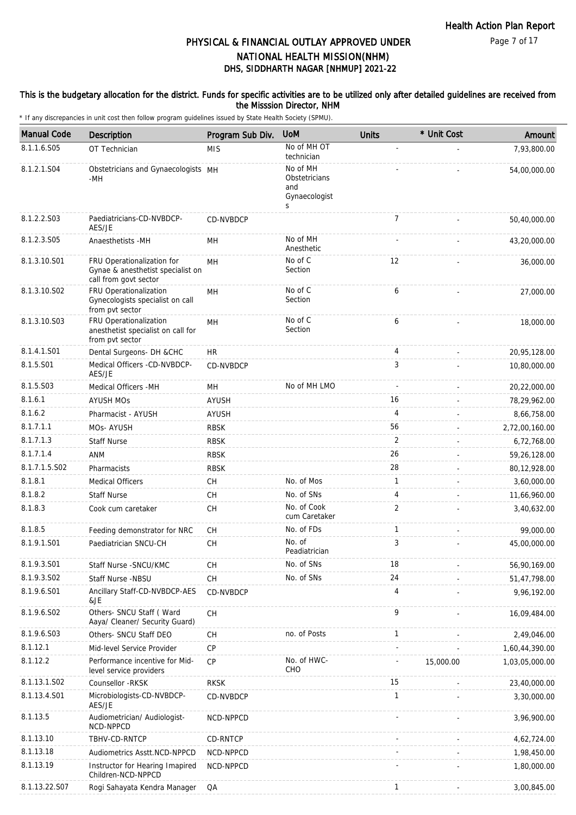### This is the budgetary allocation for the district. Funds for specific activities are to be utilized only after detailed guidelines are received from the Misssion Director, NHM

| <b>Manual Code</b> | Description                                                                              | Program Sub Div. | <b>UoM</b>                                             | <b>Units</b>   | * Unit Cost | Amount         |
|--------------------|------------------------------------------------------------------------------------------|------------------|--------------------------------------------------------|----------------|-------------|----------------|
| 8.1.1.6.S05        | OT Technician                                                                            | <b>MIS</b>       | No of MH OT<br>technician                              |                |             | 7,93,800.00    |
| 8.1.2.1.S04        | Obstetricians and Gynaecologists MH<br>-MH                                               |                  | No of MH<br>Obstetricians<br>and<br>Gynaecologist<br>S |                |             | 54,00,000.00   |
| 8.1.2.2.S03        | Paediatricians-CD-NVBDCP-<br>AES/JE                                                      | CD-NVBDCP        |                                                        | $\overline{7}$ |             | 50,40,000.00   |
| 8.1.2.3.S05        | Anaesthetists -MH                                                                        | MН               | No of MH<br>Anesthetic                                 |                |             | 43,20,000.00   |
| 8.1.3.10.S01       | FRU Operationalization for<br>Gynae & anesthetist specialist on<br>call from govt sector | MH               | No of $C$<br>Section                                   | 12             |             | 36,000.00      |
| 8.1.3.10.S02       | FRU Operationalization<br>Gynecologists specialist on call<br>from pvt sector            | <b>MH</b>        | No of C<br>Section                                     | 6              |             | 27,000.00      |
| 8.1.3.10.S03       | FRU Operationalization<br>anesthetist specialist on call for<br>from pvt sector          | MH               | No of C<br>Section                                     | 6              |             | 18,000.00      |
| 8.1.4.1.S01        | Dental Surgeons- DH &CHC                                                                 | HR.              |                                                        | 4              |             | 20,95,128.00   |
| 8.1.5.S01          | Medical Officers -CD-NVBDCP-<br>AES/JE                                                   | CD-NVBDCP        |                                                        | 3              |             | 10,80,000.00   |
| 8.1.5.S03          | Medical Officers - MH                                                                    | MH               | No of MH LMO                                           |                |             | 20,22,000.00   |
| 8.1.6.1            | <b>AYUSH MOS</b>                                                                         | <b>AYUSH</b>     |                                                        | 16             |             | 78,29,962.00   |
| 8.1.6.2            | Pharmacist - AYUSH                                                                       | <b>AYUSH</b>     |                                                        | $\overline{4}$ |             | 8,66,758.00    |
| 8.1.7.1.1          | MOs- AYUSH                                                                               | <b>RBSK</b>      |                                                        | 56             |             | 2,72,00,160.00 |
| 8.1.7.1.3          | <b>Staff Nurse</b>                                                                       | <b>RBSK</b>      |                                                        | 2              |             | 6,72,768.00    |
| 8.1.7.1.4          | <b>ANM</b>                                                                               | <b>RBSK</b>      |                                                        | 26             |             | 59,26,128.00   |
| 8.1.7.1.5.S02      | Pharmacists                                                                              | <b>RBSK</b>      |                                                        | 28             |             | 80,12,928.00   |
| 8.1.8.1            | <b>Medical Officers</b>                                                                  | CH               | No. of Mos                                             | $\mathbf{1}$   |             | 3,60,000.00    |
| 8.1.8.2            | <b>Staff Nurse</b>                                                                       | CH               | No. of SNs                                             | 4              |             | 11,66,960.00   |
| 8.1.8.3            | Cook cum caretaker                                                                       | CH               | No. of Cook<br>cum Caretaker                           | $\overline{2}$ |             | 3,40,632.00    |
| 8.1.8.5            | Feeding demonstrator for NRC                                                             | <b>CH</b>        | No. of FDs                                             | $\mathbf{1}$   |             | 99,000.00      |
| 8.1.9.1.S01        | Paediatrician SNCU-CH                                                                    | CH               | No. of<br>Peadiatrician                                | 3              |             | 45,00,000.00   |
| 8.1.9.3.S01        | Staff Nurse - SNCU/KMC                                                                   | <b>CH</b>        | No. of SNs                                             | 18             |             | 56,90,169.00   |
| 8.1.9.3.S02        | Staff Nurse -NBSU                                                                        | <b>CH</b>        | No. of SNs                                             | 24             |             | 51,47,798.00   |
| 8.1.9.6.S01        | Ancillary Staff-CD-NVBDCP-AES<br>&JE                                                     | CD-NVBDCP        |                                                        | 4              |             | 9,96,192.00    |
| 8.1.9.6.SO2        | Others- SNCU Staff (Ward<br>Aaya/ Cleaner/ Security Guard)                               | <b>CH</b>        |                                                        | 9              |             | 16,09,484.00   |
| 8.1.9.6.S03        | Others- SNCU Staff DEO                                                                   | CH               | no. of Posts                                           | $\mathbf{1}$   |             | 2,49,046.00    |
| 8.1.12.1           | Mid-level Service Provider                                                               | <b>CP</b>        |                                                        |                |             | 1,60,44,390.00 |
| 8.1.12.2           | Performance incentive for Mid-<br>level service providers                                | <b>CP</b>        | No. of HWC-<br>CHO                                     |                | 15,000.00   | 1,03,05,000.00 |
| 8.1.13.1.S02       | Counsellor -RKSK                                                                         | <b>RKSK</b>      |                                                        | 15             |             | 23,40,000.00   |
| 8.1.13.4.S01       | Microbiologists-CD-NVBDCP-<br>AES/JE                                                     | CD-NVBDCP        |                                                        | 1              |             | 3,30,000.00    |
| 8.1.13.5           | Audiometrician/ Audiologist-<br>NCD-NPPCD                                                | NCD-NPPCD        |                                                        |                |             | 3,96,900.00    |
| 8.1.13.10          | TBHV-CD-RNTCP                                                                            | CD-RNTCP         |                                                        |                |             | 4,62,724.00    |
| 8.1.13.18          | Audiometrics Asstt.NCD-NPPCD                                                             | NCD-NPPCD        |                                                        |                |             | 1,98,450.00    |
| 8.1.13.19          | Instructor for Hearing Imapired<br>Children-NCD-NPPCD                                    | NCD-NPPCD        |                                                        |                |             | 1,80,000.00    |
| 8.1.13.22.S07      | Rogi Sahayata Kendra Manager                                                             | QA               |                                                        | 1              |             | 3,00,845.00    |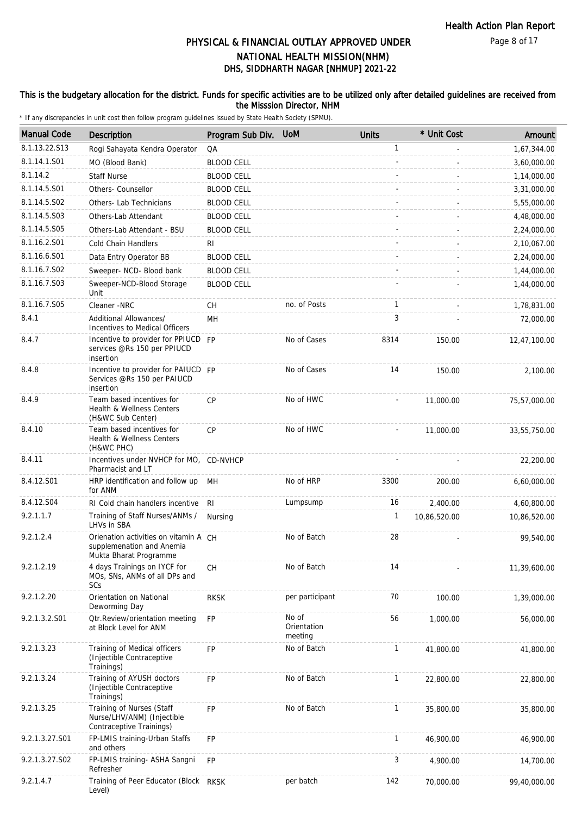#### Page 8 of 17

# DHS, SIDDHARTH NAGAR [NHMUP] 2021-22 PHYSICAL & FINANCIAL OUTLAY APPROVED UNDER NATIONAL HEALTH MISSION(NHM)

### This is the budgetary allocation for the district. Funds for specific activities are to be utilized only after detailed guidelines are received from the Misssion Director, NHM

| <b>Manual Code</b> | Description                                                                                  | Program Sub Div.  | <b>UoM</b>                      | <b>Units</b> | * Unit Cost  | Amount       |
|--------------------|----------------------------------------------------------------------------------------------|-------------------|---------------------------------|--------------|--------------|--------------|
| 8.1.13.22.S13      | Rogi Sahayata Kendra Operator                                                                | QA                |                                 | $\mathbf{1}$ |              | 1,67,344.00  |
| 8.1.14.1.S01       | MO (Blood Bank)                                                                              | <b>BLOOD CELL</b> |                                 |              |              | 3,60,000.00  |
| 8.1.14.2           | <b>Staff Nurse</b>                                                                           | <b>BLOOD CELL</b> |                                 |              |              | 1,14,000.00  |
| 8.1.14.5.S01       | Others- Counsellor                                                                           | <b>BLOOD CELL</b> |                                 |              |              | 3,31,000.00  |
| 8.1.14.5.S02       | Others- Lab Technicians                                                                      | <b>BLOOD CELL</b> |                                 |              |              | 5,55,000.00  |
| 8.1.14.5.S03       | Others-Lab Attendant                                                                         | <b>BLOOD CELL</b> |                                 |              |              | 4,48,000.00  |
| 8.1.14.5.S05       | Others-Lab Attendant - BSU                                                                   | <b>BLOOD CELL</b> |                                 |              |              | 2,24,000.00  |
| 8.1.16.2.S01       | Cold Chain Handlers                                                                          | RI                |                                 |              |              | 2,10,067.00  |
| 8.1.16.6.S01       |                                                                                              | <b>BLOOD CELL</b> |                                 |              |              | 2,24,000.00  |
| 8.1.16.7.S02       | Data Entry Operator BB                                                                       |                   |                                 |              |              |              |
| 8.1.16.7.S03       | Sweeper- NCD- Blood bank                                                                     | <b>BLOOD CELL</b> |                                 |              |              | 1,44,000.00  |
|                    | Sweeper-NCD-Blood Storage<br>Unit                                                            | <b>BLOOD CELL</b> |                                 |              |              | 1,44,000.00  |
| 8.1.16.7.S05       | Cleaner -NRC                                                                                 | CH                | no. of Posts                    | $\mathbf{1}$ |              | 1,78,831.00  |
| 8.4.1              | Additional Allowances/<br>Incentives to Medical Officers                                     | MН                |                                 | 3            |              | 72,000.00    |
| 8.4.7              | Incentive to provider for PPIUCD FP<br>services @Rs 150 per PPIUCD<br>insertion              |                   | No of Cases                     | 8314         | 150.00       | 12,47,100.00 |
| 8.4.8              | Incentive to provider for PAIUCD FP<br>Services @Rs 150 per PAIUCD<br>insertion              |                   | No of Cases                     | 14           | 150.00       | 2,100.00     |
| 8.4.9              | Team based incentives for<br>Health & Wellness Centers<br>(H&WC Sub Center)                  | <b>CP</b>         | No of HWC                       |              | 11,000.00    | 75,57,000.00 |
| 8.4.10             | Team based incentives for<br>Health & Wellness Centers<br>(H&WC PHC)                         | CP                | No of HWC                       |              | 11,000.00    | 33,55,750.00 |
| 8.4.11             | Incentives under NVHCP for MO, CD-NVHCP<br>Pharmacist and LT                                 |                   |                                 |              |              | 22,200.00    |
| 8.4.12.S01         | HRP identification and follow up<br>for ANM                                                  | MН                | No of HRP                       | 3300         | 200.00       | 6,60,000.00  |
| 8.4.12.S04         | RI Cold chain handlers incentive                                                             | RI                | Lumpsump                        | 16           | 2,400.00     | 4,60,800.00  |
| 9.2.1.1.7          | Training of Staff Nurses/ANMs /<br>LHVs in SBA                                               | Nursing           |                                 | 1            | 10,86,520.00 | 10,86,520.00 |
| 9.2.1.2.4          | Orienation activities on vitamin A CH<br>supplemenation and Anemia<br>Mukta Bharat Programme |                   | No of Batch                     | 28           |              | 99,540.00    |
| 9.2.1.2.19         | 4 days Trainings on IYCF for<br>MOs, SNs, ANMs of all DPs and<br>SCs                         | CH                | No of Batch                     | 14           |              | 11,39,600.00 |
| 9.2.1.2.20         | Orientation on National<br>Deworming Day                                                     | <b>RKSK</b>       | per participant                 | 70           | 100.00       | 1,39,000.00  |
| 9.2.1.3.2.S01      | Otr.Review/orientation meeting<br>at Block Level for ANM                                     | <b>FP</b>         | No of<br>Orientation<br>meeting | 56           | 1,000.00     | 56,000.00    |
| 9.2.1.3.23         | Training of Medical officers<br>(Injectible Contraceptive<br>Trainings)                      | <b>FP</b>         | No of Batch                     | $\mathbf{1}$ | 41,800.00    | 41,800.00    |
| 9.2.1.3.24         | Training of AYUSH doctors<br>(Injectible Contraceptive<br>Trainings)                         | <b>FP</b>         | No of Batch                     | $\mathbf{1}$ | 22,800.00    | 22,800.00    |
| 9.2.1.3.25         | Training of Nurses (Staff<br>Nurse/LHV/ANM) (Injectible<br>Contraceptive Trainings)          | FP                | No of Batch                     | $\mathbf{1}$ | 35,800.00    | 35,800.00    |
| 9.2.1.3.27.S01     | FP-LMIS training-Urban Staffs<br>and others                                                  | FP                |                                 | $\mathbf{1}$ | 46,900.00    | 46,900.00    |
| 9.2.1.3.27.S02     | FP-LMIS training- ASHA Sangni<br>Refresher                                                   | <b>FP</b>         |                                 | 3            | 4,900.00     | 14,700.00    |
| 9.2.1.4.7          | Training of Peer Educator (Block RKSK<br>Level)                                              |                   | per batch                       | 142          | 70,000.00    | 99,40,000.00 |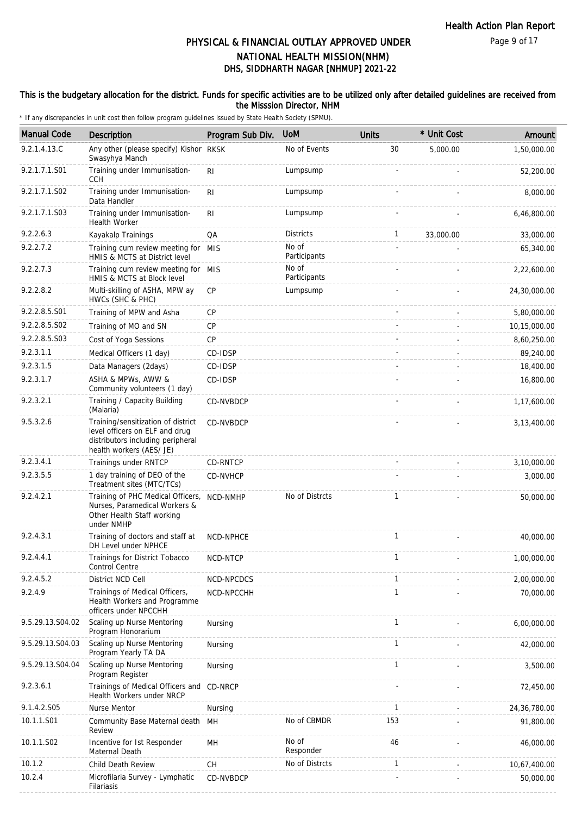### This is the budgetary allocation for the district. Funds for specific activities are to be utilized only after detailed guidelines are received from the Misssion Director, NHM

| <b>Manual Code</b> | Description                                                                                                                           | Program Sub Div. | <b>UoM</b>            | <b>Units</b> | * Unit Cost | Amount       |
|--------------------|---------------------------------------------------------------------------------------------------------------------------------------|------------------|-----------------------|--------------|-------------|--------------|
| 9.2.1.4.13.C       | Any other (please specify) Kishor RKSK<br>Swasyhya Manch                                                                              |                  | No of Events          | 30           | 5,000.00    | 1,50,000.00  |
| 9.2.1.7.1.S01      | Training under Immunisation-<br><b>CCH</b>                                                                                            | R <sub>l</sub>   | Lumpsump              |              |             | 52,200.00    |
| 9.2.1.7.1.S02      | Training under Immunisation-<br>Data Handler                                                                                          | RI.              | Lumpsump              |              |             | 8,000.00     |
| 9.2.1.7.1.S03      | Training under Immunisation-<br><b>Health Worker</b>                                                                                  | R <sub>l</sub>   | Lumpsump              |              |             | 6,46,800.00  |
| 9.2.2.6.3          | Kayakalp Trainings                                                                                                                    | QA               | <b>Districts</b>      | 1            | 33,000.00   | 33,000.00    |
| 9.2.2.7.2          | Training cum review meeting for MIS<br>HMIS & MCTS at District level                                                                  |                  | No of<br>Participants |              |             | 65,340.00    |
| 9.2.2.7.3          | Training cum review meeting for MIS<br>HMIS & MCTS at Block level                                                                     |                  | No of<br>Participants |              |             | 2,22,600.00  |
| 9.2.2.8.2          | Multi-skilling of ASHA, MPW ay<br>HWCs (SHC & PHC)                                                                                    | CP               | Lumpsump              |              |             | 24,30,000.00 |
| 9.2.2.8.5.S01      | Training of MPW and Asha                                                                                                              | <b>CP</b>        |                       |              |             | 5,80,000.00  |
| 9.2.2.8.5.S02      | Training of MO and SN                                                                                                                 | <b>CP</b>        |                       |              |             | 10,15,000.00 |
| 9.2.2.8.5.S03      | Cost of Yoga Sessions                                                                                                                 | <b>CP</b>        |                       |              |             | 8,60,250.00  |
| 9.2.3.1.1          | Medical Officers (1 day)                                                                                                              | CD-IDSP          |                       |              |             | 89,240.00    |
| 9.2.3.1.5          | Data Managers (2days)                                                                                                                 | CD-IDSP          |                       |              |             | 18,400.00    |
| 9.2.3.1.7          | ASHA & MPWs, AWW &<br>Community volunteers (1 day)                                                                                    | CD-IDSP          |                       |              |             | 16,800.00    |
| 9.2.3.2.1          | Training / Capacity Building<br>(Malaria)                                                                                             | CD-NVBDCP        |                       |              |             | 1,17,600.00  |
| 9.5.3.2.6          | Training/sensitization of district<br>level officers on ELF and drug<br>distributors including peripheral<br>health workers (AES/ JE) | CD-NVBDCP        |                       |              |             | 3,13,400.00  |
| 9.2.3.4.1          | Trainings under RNTCP                                                                                                                 | CD-RNTCP         |                       |              |             | 3,10,000.00  |
| 9.2.3.5.5          | 1 day training of DEO of the<br>Treatment sites (MTC/TCs)                                                                             | CD-NVHCP         |                       |              |             | 3,000.00     |
| 9.2.4.2.1          | Training of PHC Medical Officers,<br>Nurses, Paramedical Workers &<br>Other Health Staff working<br>under NMHP                        | NCD-NMHP         | No of Distrcts        | 1            |             | 50,000.00    |
| 9.2.4.3.1          | Training of doctors and staff at<br>DH Level under NPHCE                                                                              | NCD-NPHCE        |                       | 1            |             | 40,000.00    |
| 9.2.4.4.1          | Trainings for District Tobacco<br><b>Control Centre</b>                                                                               | NCD-NTCP         |                       | 1            |             | 1,00,000.00  |
| 9.2.4.5.2          | District NCD Cell                                                                                                                     | NCD-NPCDCS       |                       | 1            |             | 2,00,000.00  |
| 9.2.4.9            | Trainings of Medical Officers,<br>Health Workers and Programme<br>officers under NPCCHH                                               | NCD-NPCCHH       |                       | $\mathbf{1}$ |             | 70,000.00    |
| 9.5.29.13.S04.02   | Scaling up Nurse Mentoring<br>Program Honorarium                                                                                      | Nursing          |                       | 1            |             | 6,00,000.00  |
| 9.5.29.13.S04.03   | Scaling up Nurse Mentoring<br>Program Yearly TA DA                                                                                    | Nursing          |                       | 1            |             | 42,000.00    |
| 9.5.29.13.S04.04   | Scaling up Nurse Mentoring<br>Program Register                                                                                        | Nursing          |                       | 1            |             | 3,500.00     |
| 9.2.3.6.1          | Trainings of Medical Officers and CD-NRCP<br>Health Workers under NRCP                                                                |                  |                       |              |             | 72,450.00    |
| 9.1.4.2.S05        | <b>Nurse Mentor</b>                                                                                                                   | Nursing          |                       | 1            |             | 24,36,780.00 |
| 10.1.1.S01         | Community Base Maternal death<br>Review                                                                                               | MН               | No of CBMDR           | 153          |             | 91,800.00    |
| 10.1.1.S02         | Incentive for Ist Responder<br>Maternal Death                                                                                         | MH               | No of<br>Responder    | 46           |             | 46,000.00    |
| 10.1.2             | Child Death Review                                                                                                                    | CН               | No of Distrcts        | 1            |             | 10,67,400.00 |
| 10.2.4             | Microfilaria Survey - Lymphatic<br>Filariasis                                                                                         | CD-NVBDCP        |                       |              |             | 50,000.00    |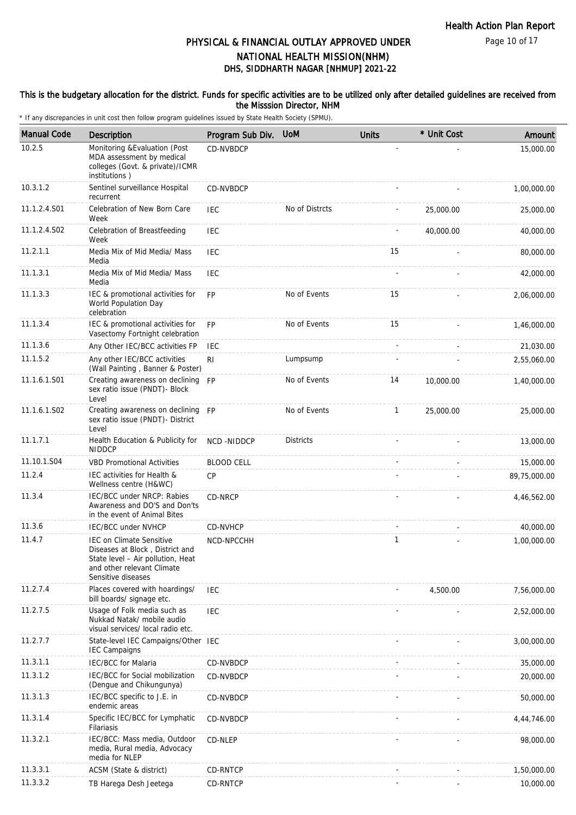Page 10 of 17

# DHS, SIDDHARTH NAGAR [NHMUP] 2021-22 PHYSICAL & FINANCIAL OUTLAY APPROVED UNDER NATIONAL HEALTH MISSION(NHM)

### This is the budgetary allocation for the district. Funds for specific activities are to be utilized only after detailed guidelines are received from the Misssion Director, NHM

| <b>Manual Code</b> | <b>Description</b>                                                                                                                                          | Program Sub Div.  | <b>UoM</b>       | <b>Units</b> | * Unit Cost | Amount       |
|--------------------|-------------------------------------------------------------------------------------------------------------------------------------------------------------|-------------------|------------------|--------------|-------------|--------------|
| 10.2.5             | Monitoring & Evaluation (Post<br>MDA assessment by medical<br>colleges (Govt. & private)/ICMR<br>institutions)                                              | CD-NVBDCP         |                  |              |             | 15,000.00    |
| 10.3.1.2           | Sentinel surveillance Hospital<br>recurrent                                                                                                                 | CD-NVBDCP         |                  |              |             | 1,00,000.00  |
| 11.1.2.4.S01       | Celebration of New Born Care<br>Week                                                                                                                        | <b>IEC</b>        | No of Distrcts   |              | 25,000.00   | 25,000.00    |
| 11.1.2.4.S02       | Celebration of Breastfeeding<br>Week                                                                                                                        | <b>IEC</b>        |                  |              | 40,000.00   | 40,000.00    |
| 11.2.1.1           | Media Mix of Mid Media/ Mass<br>Media                                                                                                                       | IEC               |                  | 15           |             | 80,000.00    |
| 11.1.3.1           | Media Mix of Mid Media/ Mass<br>Media                                                                                                                       | <b>IEC</b>        |                  |              |             | 42,000.00    |
| 11.1.3.3           | IEC & promotional activities for<br>World Population Day<br>celebration                                                                                     | <b>FP</b>         | No of Events     | 15           |             | 2,06,000.00  |
| 11.1.3.4           | IEC & promotional activities for<br>Vasectomy Fortnight celebration                                                                                         | <b>FP</b>         | No of Events     | 15           |             | 1,46,000.00  |
| 11.1.3.6           | Any Other IEC/BCC activities FP                                                                                                                             | <b>IEC</b>        |                  |              |             | 21,030.00    |
| 11.1.5.2           | Any other IEC/BCC activities<br>(Wall Painting, Banner & Poster)                                                                                            | R <sub>l</sub>    | Lumpsump         |              |             | 2,55,060.00  |
| 11.1.6.1.S01       | Creating awareness on declining<br>sex ratio issue (PNDT)- Block<br>Level                                                                                   | <b>FP</b>         | No of Events     | 14           | 10,000.00   | 1,40,000.00  |
| 11.1.6.1.S02       | Creating awareness on declining FP<br>sex ratio issue (PNDT) - District<br>Level                                                                            |                   | No of Events     | $\mathbf{1}$ | 25,000.00   | 25,000.00    |
| 11.1.7.1           | Health Education & Publicity for<br><b>NIDDCP</b>                                                                                                           | <b>NCD-NIDDCP</b> | <b>Districts</b> |              |             | 13,000.00    |
| 11.10.1.S04        | <b>VBD Promotional Activities</b>                                                                                                                           | <b>BLOOD CELL</b> |                  |              |             | 15,000.00    |
| 11.2.4             | IEC activities for Health &<br>Wellness centre (H&WC)                                                                                                       | <b>CP</b>         |                  |              |             | 89,75,000.00 |
| 11.3.4             | IEC/BCC under NRCP: Rabies<br>Awareness and DO'S and Don'ts<br>in the event of Animal Bites                                                                 | CD-NRCP           |                  |              |             | 4,46,562.00  |
| 11.3.6             | <b>IEC/BCC under NVHCP</b>                                                                                                                                  | CD-NVHCP          |                  |              |             | 40,000.00    |
| 11.4.7             | <b>IEC on Climate Sensitive</b><br>Diseases at Block, District and<br>State level - Air pollution, Heat<br>and other relevant Climate<br>Sensitive diseases | NCD-NPCCHH        |                  | 1            |             | 1,00,000.00  |
| 11.2.7.4           | Places covered with hoardings/<br>bill boards/ signage etc.                                                                                                 | <b>IEC</b>        |                  |              | 4,500.00    | 7,56,000.00  |
| 11.2.7.5           | Usage of Folk media such as<br>Nukkad Natak/ mobile audio<br>visual services/ local radio etc.                                                              | <b>IEC</b>        |                  |              |             | 2,52,000.00  |
| 11.2.7.7           | State-level IEC Campaigns/Other IEC<br><b>IEC Campaigns</b>                                                                                                 |                   |                  |              |             | 3,00,000.00  |
| 11.3.1.1           | <b>IEC/BCC</b> for Malaria                                                                                                                                  | CD-NVBDCP         |                  |              |             | 35,000.00    |
| 11.3.1.2           | IEC/BCC for Social mobilization<br>(Dengue and Chikungunya)                                                                                                 | CD-NVBDCP         |                  |              |             | 20,000.00    |
| 11.3.1.3           | IEC/BCC specific to J.E. in<br>endemic areas                                                                                                                | CD-NVBDCP         |                  |              |             | 50,000.00    |
| 11.3.1.4           | Specific IEC/BCC for Lymphatic<br>Filariasis                                                                                                                | CD-NVBDCP         |                  |              |             | 4,44,746.00  |
| 11.3.2.1           | IEC/BCC: Mass media, Outdoor<br>media, Rural media, Advocacy<br>media for NLEP                                                                              | CD-NLEP           |                  |              |             | 98,000.00    |
| 11.3.3.1           | ACSM (State & district)                                                                                                                                     | CD-RNTCP          |                  |              |             | 1,50,000.00  |
| 11.3.3.2           | TB Harega Desh Jeetega                                                                                                                                      | CD-RNTCP          |                  |              |             | 10,000.00    |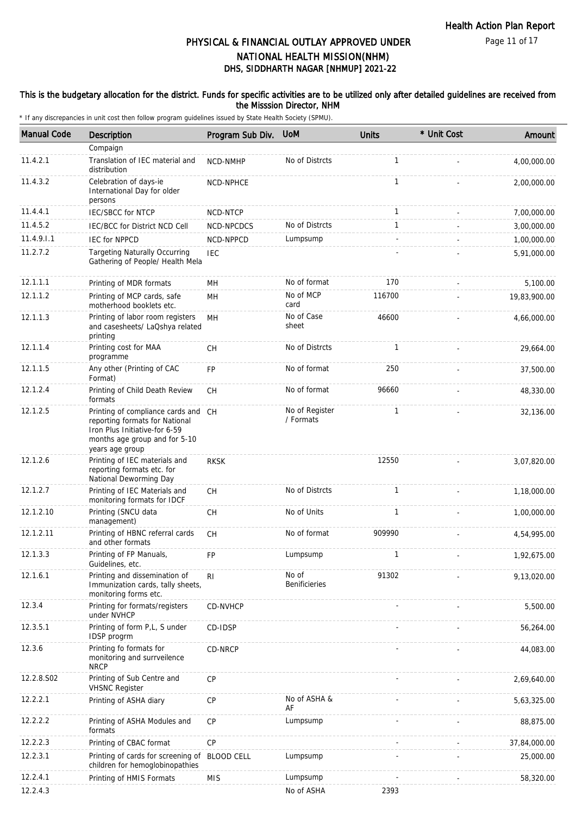Page 11 of 17

# DHS, SIDDHARTH NAGAR [NHMUP] 2021-22 PHYSICAL & FINANCIAL OUTLAY APPROVED UNDER NATIONAL HEALTH MISSION(NHM)

### This is the budgetary allocation for the district. Funds for specific activities are to be utilized only after detailed guidelines are received from the Misssion Director, NHM

| <b>Manual Code</b> | Description                                                                                                                                                | Program Sub Div. | <b>UoM</b>                    | <b>Units</b> | * Unit Cost | Amount       |
|--------------------|------------------------------------------------------------------------------------------------------------------------------------------------------------|------------------|-------------------------------|--------------|-------------|--------------|
|                    | Compaign                                                                                                                                                   |                  |                               |              |             |              |
| 11.4.2.1           | Translation of IEC material and<br>distribution                                                                                                            | NCD-NMHP         | No of Distrcts                | $\mathbf{1}$ |             | 4,00,000.00  |
| 11.4.3.2           | Celebration of days-ie<br>International Day for older<br>persons                                                                                           | NCD-NPHCE        |                               | $\mathbf{1}$ |             | 2,00,000.00  |
| 11.4.4.1           | <b>IEC/SBCC for NTCP</b>                                                                                                                                   | <b>NCD-NTCP</b>  |                               | 1            |             | 7,00,000.00  |
| 11.4.5.2           | IEC/BCC for District NCD Cell                                                                                                                              | NCD-NPCDCS       | No of Distrcts                | $\mathbf{1}$ |             | 3,00,000.00  |
| 11.4.9.1.1         | <b>IEC for NPPCD</b>                                                                                                                                       | NCD-NPPCD        | Lumpsump                      |              |             | 1,00,000.00  |
| 11.2.7.2           | <b>Targeting Naturally Occurring</b><br>Gathering of People/ Health Mela                                                                                   | <b>IEC</b>       |                               |              |             | 5,91,000.00  |
| 12.1.1.1           | Printing of MDR formats                                                                                                                                    | MН               | No of format                  | 170          |             | 5,100.00     |
| 12.1.1.2           | Printing of MCP cards, safe<br>motherhood booklets etc.                                                                                                    | MН               | No of MCP<br>card             | 116700       |             | 19,83,900.00 |
| 12.1.1.3           | Printing of labor room registers<br>and casesheets/ LaQshya related<br>printing                                                                            | <b>MH</b>        | No of Case<br>sheet           | 46600        |             | 4,66,000.00  |
| 12.1.1.4           | Printing cost for MAA<br>programme                                                                                                                         | <b>CH</b>        | No of Distrcts                | $\mathbf{1}$ |             | 29,664.00    |
| 12.1.1.5           | Any other (Printing of CAC<br>Format)                                                                                                                      | <b>FP</b>        | No of format                  | 250          |             | 37,500.00    |
| 12.1.2.4           | Printing of Child Death Review<br>formats                                                                                                                  | <b>CH</b>        | No of format                  | 96660        |             | 48,330.00    |
| 12.1.2.5           | Printing of compliance cards and CH<br>reporting formats for National<br>Iron Plus Initiative-for 6-59<br>months age group and for 5-10<br>years age group |                  | No of Register<br>/ Formats   | $\mathbf{1}$ |             | 32,136.00    |
| 12.1.2.6           | Printing of IEC materials and<br>reporting formats etc. for<br>National Deworming Day                                                                      | <b>RKSK</b>      |                               | 12550        |             | 3,07,820.00  |
| 12.1.2.7           | Printing of IEC Materials and<br>monitoring formats for IDCF                                                                                               | <b>CH</b>        | No of Distrcts                | $\mathbf{1}$ |             | 1,18,000.00  |
| 12.1.2.10          | Printing (SNCU data<br>management)                                                                                                                         | СH               | No of Units                   | $\mathbf{1}$ |             | 1,00,000.00  |
| 12.1.2.11          | Printing of HBNC referral cards<br>and other formats                                                                                                       | <b>CH</b>        | No of format                  | 909990       |             | 4,54,995.00  |
| 12.1.3.3           | Printing of FP Manuals<br>Guidelines, etc.                                                                                                                 | <b>FP</b>        | Lumpsump                      | 1            |             | 1,92,675.00  |
| 12.1.6.1           | Printing and dissemination of<br>Immunization cards, tally sheets,<br>monitoring forms etc.                                                                | RI               | No of<br><b>Benificieries</b> | 91302        |             | 9,13,020.00  |
| 12.3.4             | Printing for formats/registers<br>under NVHCP                                                                                                              | CD-NVHCP         |                               |              |             | 5,500.00     |
| 12.3.5.1           | Printing of form P,L, S under<br>IDSP progrm                                                                                                               | CD-IDSP          |                               |              |             | 56,264.00    |
| 12.3.6             | Printing fo formats for<br>monitoring and surrveilence<br><b>NRCP</b>                                                                                      | CD-NRCP          |                               |              |             | 44,083.00    |
| 12.2.8.S02         | Printing of Sub Centre and<br><b>VHSNC Register</b>                                                                                                        | CP               |                               |              |             | 2,69,640.00  |
| 12.2.2.1           | Printing of ASHA diary                                                                                                                                     | CP               | No of ASHA &<br>AF            |              |             | 5,63,325.00  |
| 12.2.2.2           | Printing of ASHA Modules and<br>formats                                                                                                                    | СP               | Lumpsump                      |              |             | 88,875.00    |
| 12.2.2.3           | Printing of CBAC format                                                                                                                                    | CP               |                               |              |             | 37,84,000.00 |
| 12.2.3.1           | Printing of cards for screening of BLOOD CELL<br>children for hemoglobinopathies                                                                           |                  | Lumpsump                      |              |             | 25,000.00    |
| 12.2.4.1           | Printing of HMIS Formats                                                                                                                                   | <b>MIS</b>       | Lumpsump                      |              |             | 58,320.00    |
| 12.2.4.3           |                                                                                                                                                            |                  | No of ASHA                    | 2393         |             |              |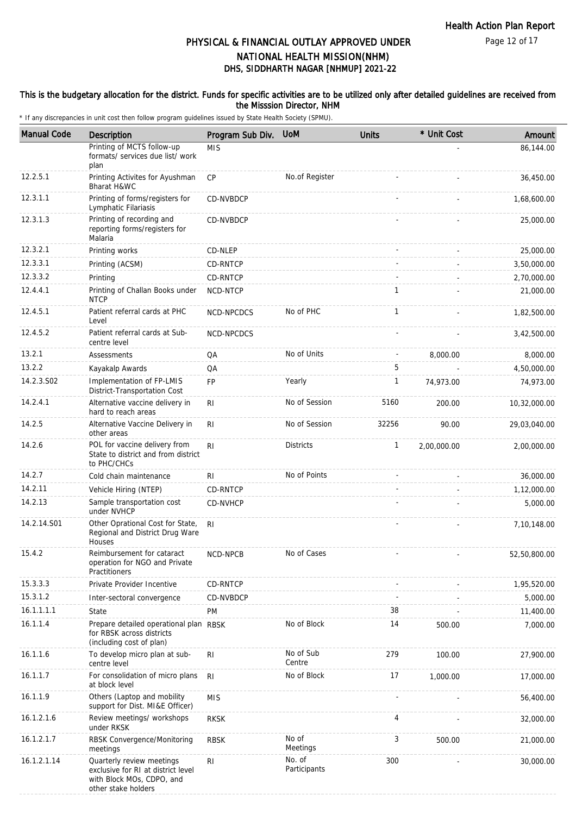Page 12 of 17

# DHS, SIDDHARTH NAGAR [NHMUP] 2021-22 PHYSICAL & FINANCIAL OUTLAY APPROVED UNDER NATIONAL HEALTH MISSION(NHM)

### This is the budgetary allocation for the district. Funds for specific activities are to be utilized only after detailed guidelines are received from the Misssion Director, NHM

| <b>Manual Code</b> | Description                                                                                                         | Program Sub Div.  | <b>UoM</b>             | <b>Units</b> | * Unit Cost | Amount       |
|--------------------|---------------------------------------------------------------------------------------------------------------------|-------------------|------------------------|--------------|-------------|--------------|
|                    | Printing of MCTS follow-up<br>formats/ services due list/ work<br>plan                                              | <b>MIS</b>        |                        |              |             | 86,144.00    |
| 12.2.5.1           | Printing Activites for Ayushman<br>Bharat H&WC                                                                      | CP                | No.of Register         |              |             | 36,450.00    |
| 12.3.1.1           | Printing of forms/registers for<br>Lymphatic Filariasis                                                             | CD-NVBDCP         |                        |              |             | 1,68,600.00  |
| 12.3.1.3           | Printing of recording and<br>reporting forms/registers for<br>Malaria                                               | CD-NVBDCP         |                        |              |             | 25,000.00    |
| 12.3.2.1           | Printing works                                                                                                      | CD-NLEP           |                        |              |             | 25,000.00    |
| 12.3.3.1           | Printing (ACSM)                                                                                                     | <b>CD-RNTCP</b>   |                        |              |             | 3,50,000.00  |
| 12.3.3.2           | Printing                                                                                                            | CD-RNTCP          |                        |              |             | 2,70,000.00  |
| 12.4.4.1           | Printing of Challan Books under<br><b>NTCP</b>                                                                      | NCD-NTCP          |                        | $\mathbf{1}$ |             | 21,000.00    |
| 12.4.5.1           | Patient referral cards at PHC<br>Level                                                                              | NCD-NPCDCS        | No of PHC              | $\mathbf{1}$ |             | 1,82,500.00  |
| 12.4.5.2           | Patient referral cards at Sub-<br>centre level                                                                      | <b>NCD-NPCDCS</b> |                        |              |             | 3,42,500.00  |
| 13.2.1             | Assessments                                                                                                         | QA                | No of Units            |              | 8,000.00    | 8,000.00     |
| 13.2.2             | Kayakalp Awards                                                                                                     | QA                |                        | 5            |             | 4,50,000.00  |
| 14.2.3.S02         | Implementation of FP-LMIS<br>District-Transportation Cost                                                           | <b>FP</b>         | Yearly                 | 1            | 74,973.00   | 74,973.00    |
| 14.2.4.1           | Alternative vaccine delivery in<br>hard to reach areas                                                              | <b>RI</b>         | No of Session          | 5160         | 200.00      | 10,32,000.00 |
| 14.2.5             | Alternative Vaccine Delivery in<br>other areas                                                                      | R <sub>l</sub>    | No of Session          | 32256        | 90.00       | 29,03,040.00 |
| 14.2.6             | POL for vaccine delivery from<br>State to district and from district<br>to PHC/CHCs                                 | R <sub>l</sub>    | <b>Districts</b>       | 1            | 2,00,000.00 | 2,00,000.00  |
| 14.2.7             | Cold chain maintenance                                                                                              | R <sub>l</sub>    | No of Points           |              |             | 36,000.00    |
| 14.2.11            | Vehicle Hiring (NTEP)                                                                                               | CD-RNTCP          |                        |              |             | 1,12,000.00  |
| 14.2.13            | Sample transportation cost<br>under NVHCP                                                                           | CD-NVHCP          |                        |              |             | 5,000.00     |
| 14.2.14.S01        | Other Oprational Cost for State,<br>Regional and District Drug Ware<br>Houses                                       | RI.               |                        |              |             | 7,10,148.00  |
| 15.4.2             | Reimbursement for cataract<br>operation for NGO and Private<br>Practitioners                                        | <b>NCD-NPCB</b>   | No of Cases            |              |             | 52,50,800.00 |
| 15.3.3.3           | Private Provider Incentive                                                                                          | CD-RNTCP          |                        |              |             | 1,95,520.00  |
| 15.3.1.2           | Inter-sectoral convergence                                                                                          | CD-NVBDCP         |                        |              |             | 5,000.00     |
| 16.1.1.1.1         | State                                                                                                               | PM                |                        | 38           |             | 11,400.00    |
| 16.1.1.4           | Prepare detailed operational plan RBSK<br>for RBSK across districts<br>(including cost of plan)                     |                   | No of Block            | 14           | 500.00      | 7,000.00     |
| 16.1.1.6           | To develop micro plan at sub-<br>centre level                                                                       | R <sub>l</sub>    | No of Sub<br>Centre    | 279          | 100.00      | 27,900.00    |
| 16.1.1.7           | For consolidation of micro plans<br>at block level                                                                  | R <sub>l</sub>    | No of Block            | 17           | 1,000.00    | 17,000.00    |
| 16.1.1.9           | Others (Laptop and mobility<br>support for Dist. MI&E Officer)                                                      | <b>MIS</b>        |                        |              |             | 56,400.00    |
| 16.1.2.1.6         | Review meetings/ workshops<br>under RKSK                                                                            | <b>RKSK</b>       |                        | 4            |             | 32,000.00    |
| 16.1.2.1.7         | RBSK Convergence/Monitoring<br>meetings                                                                             | <b>RBSK</b>       | No of<br>Meetings      | 3            | 500.00      | 21,000.00    |
| 16.1.2.1.14        | Quarterly review meetings<br>exclusive for RI at district level<br>with Block MOs, CDPO, and<br>other stake holders | R <sub>l</sub>    | No. of<br>Participants | 300          |             | 30,000.00    |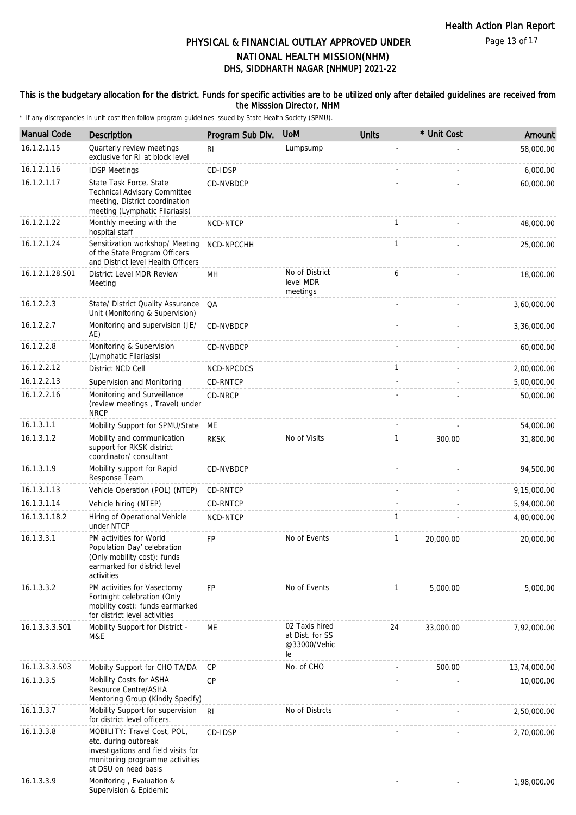### This is the budgetary allocation for the district. Funds for specific activities are to be utilized only after detailed guidelines are received from the Misssion Director, NHM

| <b>Manual Code</b> | Description                                                                                                                                           | Program Sub Div.  | <b>UoM</b>                                              | <b>Units</b> | * Unit Cost | Amount       |
|--------------------|-------------------------------------------------------------------------------------------------------------------------------------------------------|-------------------|---------------------------------------------------------|--------------|-------------|--------------|
| 16.1.2.1.15        | Quarterly review meetings<br>exclusive for RI at block level                                                                                          | R <sub>l</sub>    | Lumpsump                                                |              |             | 58,000.00    |
| 16.1.2.1.16        | <b>IDSP Meetings</b>                                                                                                                                  | CD-IDSP           |                                                         |              |             | 6,000.00     |
| 16.1.2.1.17        | State Task Force, State<br>Technical Advisory Committee<br>meeting, District coordination<br>meeting (Lymphatic Filariasis)                           | CD-NVBDCP         |                                                         |              |             | 60,000.00    |
| 16.1.2.1.22        | Monthly meeting with the<br>hospital staff                                                                                                            | NCD-NTCP          |                                                         | 1            |             | 48,000.00    |
| 16.1.2.1.24        | Sensitization workshop/ Meeting<br>of the State Program Officers<br>and District level Health Officers                                                | NCD-NPCCHH        |                                                         | 1            |             | 25,000.00    |
| 16.1.2.1.28.S01    | District Level MDR Review<br>Meeting                                                                                                                  | MH                | No of District<br>level MDR<br>meetings                 | 6            |             | 18,000.00    |
| 16.1.2.2.3         | State/ District Quality Assurance<br>Unit (Monitoring & Supervision)                                                                                  | QA                |                                                         |              |             | 3,60,000.00  |
| 16.1.2.2.7         | Monitoring and supervision (JE/<br>AE)                                                                                                                | CD-NVBDCP         |                                                         |              |             | 3,36,000.00  |
| 16.1.2.2.8         | Monitoring & Supervision<br>(Lymphatic Filariasis)                                                                                                    | CD-NVBDCP         |                                                         |              |             | 60,000.00    |
| 16.1.2.2.12        | District NCD Cell                                                                                                                                     | <b>NCD-NPCDCS</b> |                                                         | 1            |             | 2,00,000.00  |
| 16.1.2.2.13        | Supervision and Monitoring                                                                                                                            | <b>CD-RNTCP</b>   |                                                         |              |             | 5,00,000.00  |
| 16.1.2.2.16        | Monitoring and Surveillance<br>(review meetings, Travel) under<br><b>NRCP</b>                                                                         | CD-NRCP           |                                                         |              |             | 50,000.00    |
| 16.1.3.1.1         | Mobility Support for SPMU/State                                                                                                                       | ME                |                                                         |              |             | 54,000.00    |
| 16.1.3.1.2         | Mobility and communication<br>support for RKSK district<br>coordinator/consultant                                                                     | <b>RKSK</b>       | No of Visits                                            | 1            | 300.00      | 31,800.00    |
| 16.1.3.1.9         | Mobility support for Rapid<br>Response Team                                                                                                           | CD-NVBDCP         |                                                         |              |             | 94,500.00    |
| 16.1.3.1.13        | Vehicle Operation (POL) (NTEP)                                                                                                                        | CD-RNTCP          |                                                         |              |             | 9,15,000.00  |
| 16.1.3.1.14        | Vehicle hiring (NTEP)                                                                                                                                 | <b>CD-RNTCP</b>   |                                                         |              |             | 5,94,000.00  |
| 16.1.3.1.18.2      | Hiring of Operational Vehicle<br>under NTCP                                                                                                           | NCD-NTCP          |                                                         | 1            |             | 4,80,000.00  |
| 16.1.3.3.1         | PM activities for World<br>Population Day' celebration<br>(Only mobility cost): funds<br>earmarked for district level<br>activities                   | <b>FP</b>         | No of Events                                            | 1            | 20,000.00   | 20,000.00    |
| 16.1.3.3.2         | PM activities for Vasectomy<br>Fortnight celebration (Only<br>mobility cost): funds earmarked<br>for district level activities                        | FP                | No of Events                                            | 1            | 5,000.00    | 5,000.00     |
| 16.1.3.3.3.S01     | Mobility Support for District -<br>M&E                                                                                                                | ME                | 02 Taxis hired<br>at Dist. for SS<br>@33000/Vehic<br>le | 24           | 33,000.00   | 7,92,000.00  |
| 16.1.3.3.3.S03     | Mobilty Support for CHO TA/DA                                                                                                                         | <b>CP</b>         | No. of CHO                                              |              | 500.00      | 13,74,000.00 |
| 16.1.3.3.5         | Mobility Costs for ASHA<br>Resource Centre/ASHA<br>Mentoring Group (Kindly Specify)                                                                   | CP                |                                                         |              |             | 10,000.00    |
| 16.1.3.3.7         | Mobility Support for supervision<br>for district level officers.                                                                                      | R <sub>l</sub>    | No of Distrcts                                          |              |             | 2,50,000.00  |
| 16.1.3.3.8         | MOBILITY: Travel Cost, POL,<br>etc. during outbreak<br>investigations and field visits for<br>monitoring programme activities<br>at DSU on need basis | CD-IDSP           |                                                         |              |             | 2,70,000.00  |
| 16.1.3.3.9         | Monitoring, Evaluation &<br>Supervision & Epidemic                                                                                                    |                   |                                                         |              |             | 1,98,000.00  |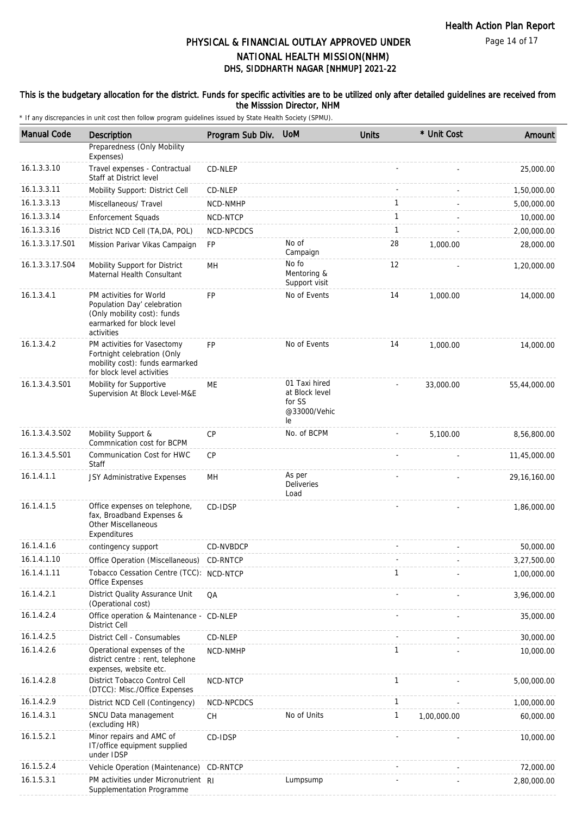### This is the budgetary allocation for the district. Funds for specific activities are to be utilized only after detailed guidelines are received from the Misssion Director, NHM

| <b>Manual Code</b> | Description                                                                                                                      | Program Sub Div. | <b>UoM</b>                                                      | <b>Units</b> | * Unit Cost | Amount         |
|--------------------|----------------------------------------------------------------------------------------------------------------------------------|------------------|-----------------------------------------------------------------|--------------|-------------|----------------|
|                    | Preparedness (Only Mobility<br>Expenses)                                                                                         |                  |                                                                 |              |             |                |
| 16.1.3.3.10        | Travel expenses - Contractual<br>Staff at District level                                                                         | CD-NLEP          |                                                                 |              |             | 25,000.00      |
| 16.1.3.3.11        | Mobility Support: District Cell                                                                                                  | CD-NLEP          |                                                                 |              |             | 1,50,000.00    |
| 16.1.3.3.13        | Miscellaneous/ Travel                                                                                                            | NCD-NMHP         |                                                                 | $\mathbf{1}$ |             | 5,00,000.00    |
| 16.1.3.3.14        | <b>Enforcement Squads</b>                                                                                                        | NCD-NTCP         |                                                                 | $\mathbf{1}$ |             | 10,000.00      |
| 16.1.3.3.16        | District NCD Cell (TA, DA, POL)                                                                                                  | NCD-NPCDCS       |                                                                 | $\mathbf{1}$ |             | 2,00,000.00    |
| 16.1.3.3.17.S01    | Mission Parivar Vikas Campaign                                                                                                   | FP               | No of<br>Campaign                                               | 28           | 1,000.00    | 28,000.00      |
| 16.1.3.3.17.S04    | Mobility Support for District<br>Maternal Health Consultant                                                                      | MН               | No fo<br>Mentoring &<br>Support visit                           | 12           |             | 1,20,000.00    |
| 16.1.3.4.1         | PM activities for World<br>Population Day' celebration<br>(Only mobility cost): funds<br>earmarked for block level<br>activities | FP               | No of Events                                                    | 14           | 1,000.00    | 14,000.00      |
| 16.1.3.4.2         | PM activities for Vasectomy<br>Fortnight celebration (Only<br>mobility cost): funds earmarked<br>for block level activities      | FP               | No of Events                                                    | 14           | 1,000.00    | 14,000.00      |
| 16.1.3.4.3.S01     | Mobility for Supportive<br>Supervision At Block Level-M&E                                                                        | ME               | 01 Taxi hired<br>at Block level<br>for SS<br>@33000/Vehic<br>le |              | 33,000.00   | 55,44,000.00   |
| 16.1.3.4.3.S02     | Mobility Support &<br>Commnication cost for BCPM                                                                                 | CP               | No. of BCPM                                                     |              | 5,100.00    | 8,56,800.00    |
| 16.1.3.4.5.S01     | Communication Cost for HWC<br>Staff                                                                                              | <b>CP</b>        |                                                                 |              |             | 11,45,000.00   |
| 16.1.4.1.1         | JSY Administrative Expenses                                                                                                      | MН               | As per<br>Deliveries<br>Load                                    |              |             | 29, 16, 160.00 |
| 16.1.4.1.5         | Office expenses on telephone,<br>fax, Broadband Expenses &<br>Other Miscellaneous<br>Expenditures                                | CD-IDSP          |                                                                 |              |             | 1,86,000.00    |
| 16.1.4.1.6         | contingency support                                                                                                              | CD-NVBDCP        |                                                                 |              |             | 50,000.00      |
| 16.1.4.1.10        | Office Operation (Miscellaneous)                                                                                                 | CD-RNTCP         |                                                                 |              |             | 3,27,500.00    |
| 16.1.4.1.11        | Tobacco Cessation Centre (TCC): NCD-NTCP<br><b>Office Expenses</b>                                                               |                  |                                                                 | $\mathbf{1}$ |             | 1,00,000.00    |
| 16.1.4.2.1         | District Quality Assurance Unit<br>(Operational cost)                                                                            | QA               |                                                                 |              |             | 3,96,000.00    |
| 16.1.4.2.4         | Office operation & Maintenance - CD-NLEP<br>District Cell                                                                        |                  |                                                                 |              |             | 35,000.00      |
| 16.1.4.2.5         | District Cell - Consumables                                                                                                      | CD-NLEP          |                                                                 |              |             | 30,000.00      |
| 16.1.4.2.6         | Operational expenses of the<br>district centre : rent, telephone<br>expenses, website etc.                                       | NCD-NMHP         |                                                                 | 1            |             | 10,000.00      |
| 16.1.4.2.8         | District Tobacco Control Cell<br>(DTCC): Misc./Office Expenses                                                                   | NCD-NTCP         |                                                                 | $\mathbf{1}$ |             | 5,00,000.00    |
| 16.1.4.2.9         | District NCD Cell (Contingency)                                                                                                  | NCD-NPCDCS       |                                                                 | 1            |             | 1,00,000.00    |
| 16.1.4.3.1         | SNCU Data management<br>(excluding HR)                                                                                           | СH               | No of Units                                                     | 1            | 1,00,000.00 | 60,000.00      |
| 16.1.5.2.1         | Minor repairs and AMC of<br>IT/office equipment supplied<br>under IDSP                                                           | CD-IDSP          |                                                                 |              |             | 10,000.00      |
| 16.1.5.2.4         | Vehicle Operation (Maintenance)                                                                                                  | CD-RNTCP         |                                                                 |              |             | 72,000.00      |
| 16.1.5.3.1         | PM activities under Micronutrient RI<br>Supplementation Programme                                                                |                  | Lumpsump                                                        |              |             | 2,80,000.00    |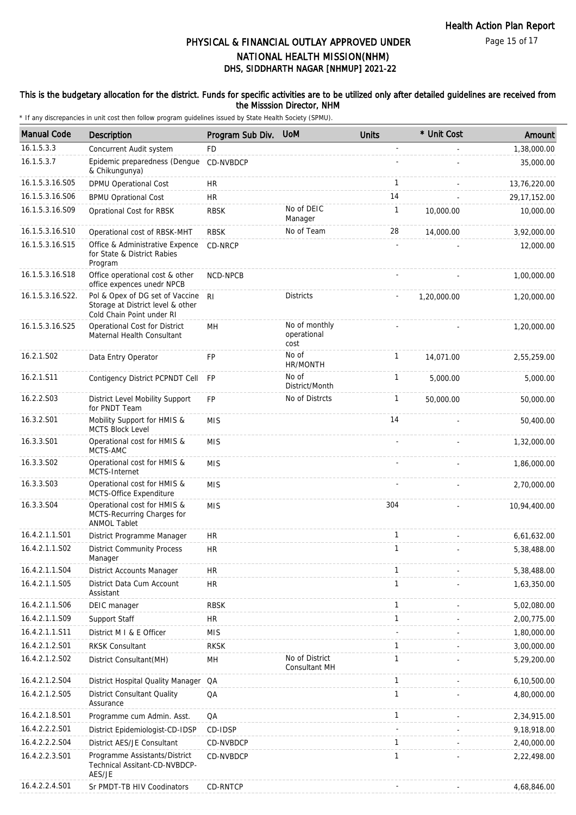### This is the budgetary allocation for the district. Funds for specific activities are to be utilized only after detailed guidelines are received from the Misssion Director, NHM

| <b>Manual Code</b> | Description                                                                                       | Program Sub Div. | <b>UoM</b>                           | <b>Units</b> | * Unit Cost | Amount         |
|--------------------|---------------------------------------------------------------------------------------------------|------------------|--------------------------------------|--------------|-------------|----------------|
| 16.1.5.3.3         | Concurrent Audit system                                                                           | <b>FD</b>        |                                      |              |             | 1,38,000.00    |
| 16.1.5.3.7         | Epidemic preparedness (Dengue<br>& Chikungunya)                                                   | CD-NVBDCP        |                                      |              |             | 35,000.00      |
| 16.1.5.3.16.S05    | DPMU Operational Cost                                                                             | <b>HR</b>        |                                      | $\mathbf{1}$ |             | 13,76,220.00   |
| 16.1.5.3.16.S06    | <b>BPMU Oprational Cost</b>                                                                       | HR               |                                      | 14           |             | 29, 17, 152.00 |
| 16.1.5.3.16.S09    | Oprational Cost for RBSK                                                                          | <b>RBSK</b>      | No of DEIC<br>Manager                | $\mathbf{1}$ | 10,000.00   | 10,000.00      |
| 16.1.5.3.16.S10    | Operational cost of RBSK-MHT                                                                      | <b>RBSK</b>      | No of Team                           | 28           | 14,000.00   | 3,92,000.00    |
| 16.1.5.3.16.S15    | Office & Administrative Expence<br>for State & District Rabies<br>Program                         | CD-NRCP          |                                      |              |             | 12,000.00      |
| 16.1.5.3.16.S18    | Office operational cost & other<br>office expences unedr NPCB                                     | NCD-NPCB         |                                      |              |             | 1,00,000.00    |
| 16.1.5.3.16.S22.   | Pol & Opex of DG set of Vaccine<br>Storage at District level & other<br>Cold Chain Point under RI | R <sub>l</sub>   | <b>Districts</b>                     |              | 1,20,000.00 | 1,20,000.00    |
| 16.1.5.3.16.S25    | Operational Cost for District<br>Maternal Health Consultant                                       | MH               | No of monthly<br>operational<br>cost |              |             | 1,20,000.00    |
| 16.2.1.S02         | Data Entry Operator                                                                               | <b>FP</b>        | No of<br>HR/MONTH                    | $\mathbf{1}$ | 14.071.00   | 2,55,259.00    |
| 16.2.1.S11         | Contigency District PCPNDT Cell                                                                   | <b>FP</b>        | No of<br>District/Month              | $\mathbf{1}$ | 5,000.00    | 5,000.00       |
| 16.2.2.S03         | District Level Mobility Support<br>for PNDT Team                                                  | <b>FP</b>        | No of Distrcts                       | $\mathbf{1}$ | 50,000.00   | 50,000.00      |
| 16.3.2.S01         | Mobility Support for HMIS &<br><b>MCTS Block Level</b>                                            | <b>MIS</b>       |                                      | 14           |             | 50,400.00      |
| 16.3.3.S01         | Operational cost for HMIS &<br>MCTS-AMC                                                           | <b>MIS</b>       |                                      |              |             | 1,32,000.00    |
| 16.3.3.S02         | Operational cost for HMIS &<br>MCTS-Internet                                                      | <b>MIS</b>       |                                      |              |             | 1,86,000.00    |
| 16.3.3.S03         | Operational cost for HMIS &<br>MCTS-Office Expenditure                                            | <b>MIS</b>       |                                      |              |             | 2,70,000.00    |
| 16.3.3.S04         | Operational cost for HMIS &<br>MCTS-Recurring Charges for<br><b>ANMOL Tablet</b>                  | <b>MIS</b>       |                                      | 304          |             | 10,94,400.00   |
| 16.4.2.1.1.S01     | District Programme Manager                                                                        | <b>HR</b>        |                                      | $\mathbf{1}$ |             | 6,61,632.00    |
| 16.4.2.1.1.S02     | <b>District Community Process</b><br>Manager                                                      | <b>HR</b>        |                                      | $\mathbf{1}$ |             | 5,38,488.00    |
| 16.4.2.1.1.S04     | District Accounts Manager                                                                         | <b>HR</b>        |                                      | $\mathbf{1}$ |             | 5,38,488.00    |
| 16.4.2.1.1.S05     | District Data Cum Account<br>Assistant                                                            | <b>HR</b>        |                                      | $\mathbf{1}$ |             | 1,63,350.00    |
| 16.4.2.1.1.S06     | DEIC manager                                                                                      | <b>RBSK</b>      |                                      | $\mathbf{1}$ |             | 5,02,080.00    |
| 16.4.2.1.1.S09     | Support Staff                                                                                     | <b>HR</b>        |                                      | $\mathbf{1}$ |             | 2,00,775.00    |
| 16.4.2.1.1.S11     | District M I & E Officer                                                                          | <b>MIS</b>       |                                      |              |             | 1,80,000.00    |
| 16.4.2.1.2.S01     | <b>RKSK Consultant</b>                                                                            | <b>RKSK</b>      |                                      | $\mathbf{1}$ |             | 3,00,000.00    |
| 16.4.2.1.2.S02     | District Consultant(MH)                                                                           | MH               | No of District<br>Consultant MH      | $\mathbf{1}$ |             | 5,29,200.00    |
| 16.4.2.1.2.S04     | District Hospital Quality Manager                                                                 | QA               |                                      | 1            |             | 6,10,500.00    |
| 16.4.2.1.2.S05     | <b>District Consultant Quality</b><br>Assurance                                                   | QA               |                                      | $\mathbf{1}$ |             | 4,80,000.00    |
| 16.4.2.1.8.S01     | Programme cum Admin. Asst.                                                                        | QA               |                                      | $\mathbf{1}$ |             | 2,34,915.00    |
| 16.4.2.2.2.S01     | District Epidemiologist-CD-IDSP                                                                   | CD-IDSP          |                                      |              |             | 9,18,918.00    |
| 16.4.2.2.2.S04     | District AES/JE Consultant                                                                        | CD-NVBDCP        |                                      | 1            |             | 2,40,000.00    |
| 16.4.2.2.3.S01     | Programme Assistants/District<br>Technical Assitant-CD-NVBDCP-<br>AES/JE                          | CD-NVBDCP        |                                      | 1            |             | 2,22,498.00    |
| 16.4.2.2.4.S01     | Sr PMDT-TB HIV Coodinators                                                                        | CD-RNTCP         |                                      |              |             | 4,68,846.00    |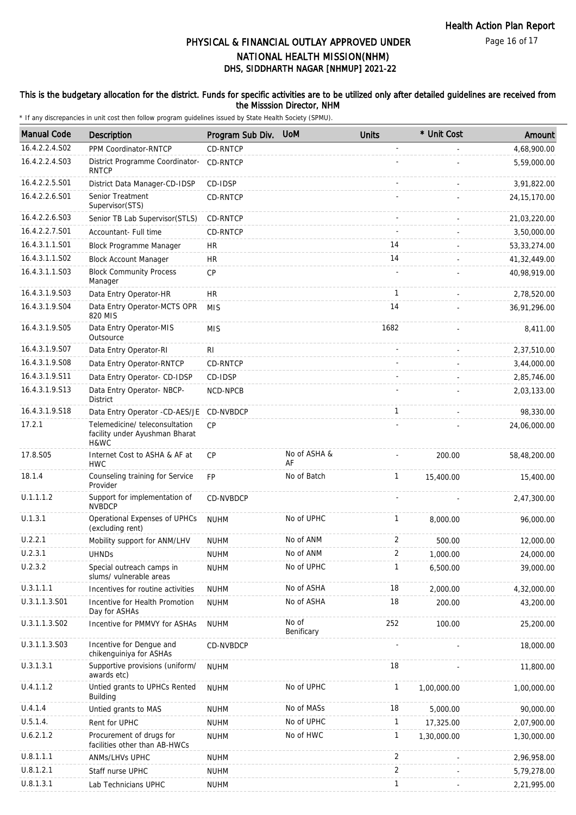Page 16 of 17

# DHS, SIDDHARTH NAGAR [NHMUP] 2021-22 PHYSICAL & FINANCIAL OUTLAY APPROVED UNDER NATIONAL HEALTH MISSION(NHM)

### This is the budgetary allocation for the district. Funds for specific activities are to be utilized only after detailed guidelines are received from the Misssion Director, NHM

| <b>Manual Code</b> | Description                                                              | Program Sub Div. | <b>UoM</b>          | <b>Units</b>   | * Unit Cost | Amount         |
|--------------------|--------------------------------------------------------------------------|------------------|---------------------|----------------|-------------|----------------|
| 16.4.2.2.4.S02     | PPM Coordinator-RNTCP                                                    | CD-RNTCP         |                     |                |             | 4,68,900.00    |
| 16.4.2.2.4.S03     | District Programme Coordinator-<br><b>RNTCP</b>                          | CD-RNTCP         |                     |                |             | 5,59,000.00    |
| 16.4.2.2.5.S01     | District Data Manager-CD-IDSP                                            | CD-IDSP          |                     |                |             | 3,91,822.00    |
| 16.4.2.2.6.S01     | Senior Treatment<br>Supervisor(STS)                                      | CD-RNTCP         |                     |                |             | 24, 15, 170.00 |
| 16.4.2.2.6.S03     | Senior TB Lab Supervisor (STLS)                                          | CD-RNTCP         |                     |                |             | 21,03,220.00   |
| 16.4.2.2.7.S01     | Accountant- Full time                                                    | <b>CD-RNTCP</b>  |                     |                |             | 3,50,000.00    |
| 16.4.3.1.1.S01     | Block Programme Manager                                                  | <b>HR</b>        |                     | 14             |             | 53, 33, 274.00 |
| 16.4.3.1.1.S02     | <b>Block Account Manager</b>                                             | <b>HR</b>        |                     | 14             |             | 41,32,449.00   |
| 16.4.3.1.1.S03     | <b>Block Community Process</b><br>Manager                                | <b>CP</b>        |                     |                |             | 40,98,919.00   |
| 16.4.3.1.9.S03     | Data Entry Operator-HR                                                   | <b>HR</b>        |                     | $\mathbf{1}$   |             | 2,78,520.00    |
| 16.4.3.1.9.S04     | Data Entry Operator-MCTS OPR<br>820 MIS                                  | <b>MIS</b>       |                     | 14             |             | 36,91,296.00   |
| 16.4.3.1.9.S05     | Data Entry Operator-MIS<br>Outsource                                     | <b>MIS</b>       |                     | 1682           |             | 8,411.00       |
| 16.4.3.1.9.S07     | Data Entry Operator-RI                                                   | RI.              |                     |                |             | 2,37,510.00    |
| 16.4.3.1.9.S08     | Data Entry Operator-RNTCP                                                | CD-RNTCP         |                     |                |             | 3,44,000.00    |
| 16.4.3.1.9.S11     | Data Entry Operator- CD-IDSP                                             | CD-IDSP          |                     |                |             | 2,85,746.00    |
| 16.4.3.1.9.S13     | Data Entry Operator- NBCP-<br><b>District</b>                            | NCD-NPCB         |                     |                |             | 2,03,133.00    |
| 16.4.3.1.9.S18     | Data Entry Operator -CD-AES/JE                                           | CD-NVBDCP        |                     | 1              |             | 98,330.00      |
| 17.2.1             | Telemedicine/ teleconsultation<br>facility under Ayushman Bharat<br>H&WC | CP               |                     |                |             | 24,06,000.00   |
| 17.8.S05           | Internet Cost to ASHA & AF at<br><b>HWC</b>                              | <b>CP</b>        | No of ASHA &<br>AF  |                | 200.00      | 58,48,200.00   |
| 18.1.4             | Counseling training for Service<br>Provider                              | <b>FP</b>        | No of Batch         | $\mathbf{1}$   | 15,400.00   | 15,400.00      |
| U.1.1.1.2          | Support for implementation of<br><b>NVBDCP</b>                           | CD-NVBDCP        |                     |                |             | 2,47,300.00    |
| U.1.3.1            | Operational Expenses of UPHCs<br>(excluding rent)                        | <b>NUHM</b>      | No of UPHC          | 1              | 8,000.00    | 96,000.00      |
| U.2.2.1            | Mobility support for ANM/LHV                                             | <b>NUHM</b>      | No of ANM           | 2              | 500.00      | 12,000.00      |
| U.2.3.1            | <b>UHNDS</b>                                                             | <b>NUHM</b>      | No of ANM           | $\mathfrak{D}$ | 1,000.00    | 24,000.00      |
| U.2.3.2            | Special outreach camps in<br>slums/ vulnerable areas                     | <b>NUHM</b>      | No of UPHC          | 1              | 6,500.00    | 39,000.00      |
| U.3.1.1.1          | Incentives for routine activities                                        | <b>NUHM</b>      | No of ASHA          | 18             | 2,000.00    | 4,32,000.00    |
| U.3.1.1.3.S01      | Incentive for Health Promotion<br>Day for ASHAs                          | <b>NUHM</b>      | No of ASHA          | 18             | 200.00      | 43,200.00      |
| U.3.1.1.3.S02      | Incentive for PMMVY for ASHAs                                            | <b>NUHM</b>      | No of<br>Benificary | 252            | 100.00      | 25,200.00      |
| U.3.1.1.3.S03      | Incentive for Dengue and<br>chikenguiniya for ASHAs                      | CD-NVBDCP        |                     |                |             | 18,000.00      |
| U.3.1.3.1          | Supportive provisions (uniform/<br>awards etc)                           | <b>NUHM</b>      |                     | 18             |             | 11,800.00      |
| U.4.1.1.2          | Untied grants to UPHCs Rented<br>Building                                | <b>NUHM</b>      | No of UPHC          | 1              | 1,00,000.00 | 1,00,000.00    |
| U.4.1.4            | Untied grants to MAS                                                     | <b>NUHM</b>      | No of MASs          | 18             | 5,000.00    | 90,000.00      |
| U.5.1.4.           | Rent for UPHC                                                            | <b>NUHM</b>      | No of UPHC          | 1              | 17,325.00   | 2,07,900.00    |
| U.6.2.1.2          | Procurement of drugs for<br>facilities other than AB-HWCs                | <b>NUHM</b>      | No of HWC           | 1              | 1,30,000.00 | 1,30,000.00    |
| U.8.1.1.1          | ANMs/LHVs UPHC                                                           | <b>NUHM</b>      |                     | 2              |             | 2,96,958.00    |
| U.8.1.2.1          | Staff nurse UPHC                                                         | <b>NUHM</b>      |                     | $\overline{2}$ |             | 5,79,278.00    |
| U.8.1.3.1          | Lab Technicians UPHC                                                     | <b>NUHM</b>      |                     | $\mathbf{1}$   |             | 2,21,995.00    |